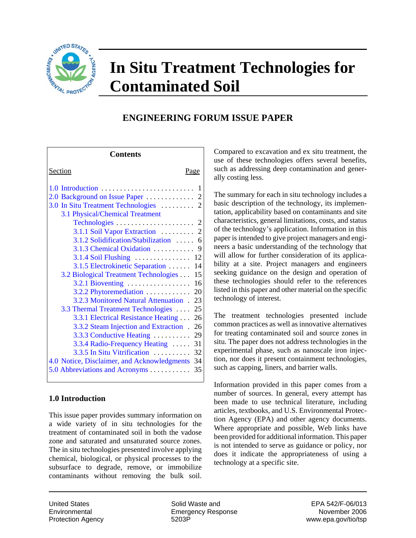<span id="page-0-0"></span>

# **In Situ Treatment Technologies for Contaminated Soil**

# **ENGINEERING FORUM ISSUE PAPER**

| Contents                                                                                                                                                                                                                                                                                                                                          |  |  |  |
|---------------------------------------------------------------------------------------------------------------------------------------------------------------------------------------------------------------------------------------------------------------------------------------------------------------------------------------------------|--|--|--|
| Section<br><u>Page</u>                                                                                                                                                                                                                                                                                                                            |  |  |  |
| $1.0$ Introduction $\ldots$<br>.<br>1<br>2.0 Background on Issue Paper<br>3.0 In Situ Treatment Technologies<br>2<br>3.1 Physical/Chemical Treatment<br>Technologies<br>2<br>3.1.1 Soil Vapor Extraction<br>2                                                                                                                                     |  |  |  |
| 3.1.2 Solidification/Stabilization<br>6<br>3.1.3 Chemical Oxidation<br>9<br>12<br>$3.1.4$ Soil Flushing $\ldots \ldots \ldots \ldots$<br>14<br>3.1.5 Electrokinetic Separation<br>3.2 Biological Treatment Technologies<br>15<br>$3.2.1$ Bioventing<br>16<br>3.2.2 Phytoremediation<br>20<br>3.2.3 Monitored Natural Attenuation.<br>23           |  |  |  |
| 3.3 Thermal Treatment Technologies<br>25<br>3.3.1 Electrical Resistance Heating<br>26<br>3.3.2 Steam Injection and Extraction.<br>26<br>3.3.3 Conductive Heating<br>29<br>3.3.4 Radio-Frequency Heating<br>31<br>$3.3.5$ In Situ Vitrification<br>32<br>4.0 Notice, Disclaimer, and Acknowledgments<br>34<br>5.0 Abbreviations and Acronyms<br>35 |  |  |  |

# **1.0 Introduction**

This issue paper provides summary information on a wide variety of in situ technologies for the treatment of contaminated soil in both the vadose zone and saturated and unsaturated source zones. The in situ technologies presented involve applying chemical, biological, or physical processes to the subsurface to degrade, remove, or immobilize contaminants without removing the bulk soil.

Compared to excavation and ex situ treatment, the use of these technologies offers several benefits, such as addressing deep contamination and generally costing less.

The summary for each in situ technology includes a basic description of the technology, its implementation, applicability based on contaminants and site characteristics, general limitations, costs, and status of the technology's application. Information in this paper is intended to give project managers and engineers a basic understanding of the technology that will allow for further consideration of its applicability at a site. Project managers and engineers seeking guidance on the design and operation of these technologies should refer to the references listed in this paper and other material on the specific technology of interest.

The treatment technologies presented include common practices as well as innovative alternatives for treating contaminated soil and source zones in situ. The paper does not address technologies in the experimental phase, such as nanoscale iron injection, nor does it present containment technologies, such as capping, liners, and barrier walls.

Information provided in this paper comes from a number of sources. In general, every attempt has been made to use technical literature, including articles, textbooks, and U.S. Environmental Protection Agency (EPA) and other agency documents. Where appropriate and possible, Web links have been provided for additional information. This paper is not intended to serve as guidance or policy, nor does it indicate the appropriateness of using a technology at a specific site.

United States **Solid Waste and Community Solid Waste** and EPA 542/F-06/013 Environmental Emergency Response November 2006 Protection Agency 5203P [www.epa.gov/tio/tsp](http://www.epa.gov/tio/tsp)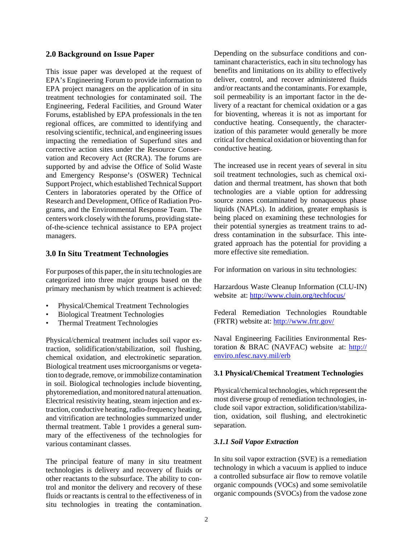#### <span id="page-1-0"></span>**2.0 Background on Issue Paper**

This issue paper was developed at the request of EPA's Engineering Forum to provide information to EPA project managers on the application of in situ treatment technologies for contaminated soil. The Engineering, Federal Facilities, and Ground Water Forums, established by EPA professionals in the ten regional offices, are committed to identifying and resolving scientific, technical, and engineering issues impacting the remediation of Superfund sites and corrective action sites under the Resource Conservation and Recovery Act (RCRA). The forums are supported by and advise the Office of Solid Waste and Emergency Response's (OSWER) Technical Support Project, which established Technical Support Centers in laboratories operated by the Office of Research and Development, Office of Radiation Programs, and the Environmental Response Team. The centers work closely with the forums, providing stateof-the-science technical assistance to EPA project managers.

# **3.0 In Situ Treatment Technologies**

For purposes of this paper, the in situ technologies are categorized into three major groups based on the primary mechanism by which treatment is achieved:

- Physical/Chemical Treatment Technologies
- Biological Treatment Technologies
- Thermal Treatment Technologies

Physical/chemical treatment includes soil vapor extraction, solidification/stabilization, soil flushing, chemical oxidation, and electrokinetic separation. Biological treatment uses microorganisms or vegetation to degrade, remove, or immobilize contamination in soil. Biological technologies include bioventing, phytoremediation, and monitored natural attenuation. Electrical resistivity heating, steam injection and extraction, conductive heating, radio-frequency heating, and vitrification are technologies summarized under thermal treatment. Table 1 provides a general summary of the effectiveness of the technologies for various contaminant classes.

The principal feature of many in situ treatment technologies is delivery and recovery of fluids or other reactants to the subsurface. The ability to control and monitor the delivery and recovery of these fluids or reactants is central to the effectiveness of in situ technologies in treating the contamination. Depending on the subsurface conditions and contaminant characteristics, each in situ technology has benefits and limitations on its ability to effectively deliver, control, and recover administered fluids and/or reactants and the contaminants. For example, soil permeability is an important factor in the delivery of a reactant for chemical oxidation or a gas for bioventing, whereas it is not as important for conductive heating. Consequently, the characterization of this parameter would generally be more critical for chemical oxidation or bioventing than for conductive heating.

The increased use in recent years of several in situ soil treatment technologies, such as chemical oxidation and thermal treatment, has shown that both technologies are a viable option for addressing source zones contaminated by nonaqueous phase liquids (NAPLs). In addition, greater emphasis is being placed on examining these technologies for their potential synergies as treatment trains to address contamination in the subsurface. This integrated approach has the potential for providing a more effective site remediation.

For information on various in situ technologies:

Harzardous Waste Cleanup Information (CLU-IN) website at: http://www.cluin.org/techfocus/

Federal Remediation Technologies Roundtable (FRTR) website at: http://www.frtr.gov/

Naval Engineering Facilities Environmental Restoration & BRAC (NAVFAC) website at: [http://](http://enviro.nfesc.navy.mil/erb)  [enviro.nfesc.navy.mil/erb](http://enviro.nfesc.navy.mil/erb) 

# **3.1 Physical/Chemical Treatment Technologies**

Physical/chemical technologies, which represent the most diverse group of remediation technologies, include soil vapor extraction, solidification/stabilization, oxidation, soil flushing, and electrokinetic separation.

# *3.1.1 Soil Vapor Extraction*

In situ soil vapor extraction (SVE) is a remediation technology in which a vacuum is applied to induce a controlled subsurface air flow to remove volatile organic compounds (VOCs) and some semivolatile organic compounds (SVOCs) from the vadose zone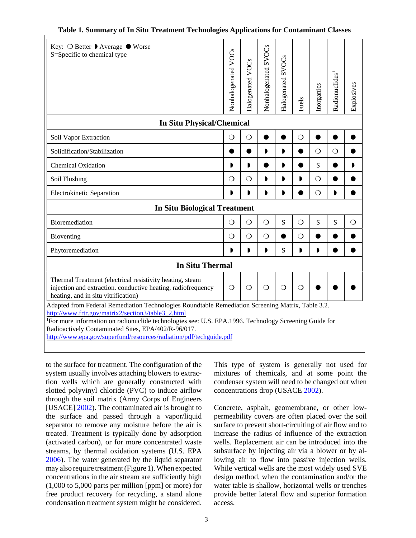| Key: ○ Better ▶ Average ● Worse<br>S=Specific to chemical type                                                                                                                                                                                                                                                                                                                                            | Nonhalogenated VOCs | Halogenated VOCs | Nonhalogenated SVOCs | Halogenated SVOCs | Fuels      | Inorganics | Radionuclides <sup>1</sup> | Explosives |
|-----------------------------------------------------------------------------------------------------------------------------------------------------------------------------------------------------------------------------------------------------------------------------------------------------------------------------------------------------------------------------------------------------------|---------------------|------------------|----------------------|-------------------|------------|------------|----------------------------|------------|
| <b>In Situ Physical/Chemical</b>                                                                                                                                                                                                                                                                                                                                                                          |                     |                  |                      |                   |            |            |                            |            |
| Soil Vapor Extraction                                                                                                                                                                                                                                                                                                                                                                                     | $\bigcirc$          | $\bigcirc$       | $\bullet$            | ●                 | $\bigcirc$ | $\bullet$  |                            |            |
| Solidification/Stabilization                                                                                                                                                                                                                                                                                                                                                                              | e                   |                  | Þ                    | D                 |            | $\bigcirc$ | $\bigcirc$                 | ●          |
| <b>Chemical Oxidation</b>                                                                                                                                                                                                                                                                                                                                                                                 | D                   | D                |                      |                   |            | S          |                            |            |
| Soil Flushing                                                                                                                                                                                                                                                                                                                                                                                             | $\bigcirc$          | $\bigcirc$       | D                    |                   |            | $\bigcirc$ |                            |            |
| Electrokinetic Separation                                                                                                                                                                                                                                                                                                                                                                                 |                     |                  |                      |                   |            | $\bigcirc$ |                            |            |
| <b>In Situ Biological Treatment</b>                                                                                                                                                                                                                                                                                                                                                                       |                     |                  |                      |                   |            |            |                            |            |
| Bioremediation                                                                                                                                                                                                                                                                                                                                                                                            | $\bigcirc$          | $\bigcirc$       | $\bigcirc$           | S                 | $\bigcirc$ | S          | S                          | $\bigcirc$ |
| Bioventing                                                                                                                                                                                                                                                                                                                                                                                                | $\bigcirc$          | $\bigcirc$       | $\bigcirc$           |                   | $\bigcirc$ |            |                            |            |
| Phytoremediation                                                                                                                                                                                                                                                                                                                                                                                          |                     | D                |                      | S                 |            |            |                            |            |
| <b>In Situ Thermal</b>                                                                                                                                                                                                                                                                                                                                                                                    |                     |                  |                      |                   |            |            |                            |            |
| Thermal Treatment (electrical resistivity heating, steam<br>injection and extraction. conductive heating, radiofrequency<br>heating, and in situ vitrification)                                                                                                                                                                                                                                           | $\bigcirc$          | $\bigcirc$       | $\bigcirc$           | $\bigcirc$        | $\bigcirc$ |            |                            |            |
| Adapted from Federal Remediation Technologies Roundtable Remediation Screening Matrix, Table 3.2.<br>http://www.frtr.gov/matrix2/section3/table3_2.html<br><sup>1</sup> For more information on radionuclide technologies see: U.S. EPA.1996. Technology Screening Guide for<br>Radioactively Contaminated Sites, EPA/402/R-96/017.<br>http://www.epa.gov/superfund/resources/radiation/pdf/techguide.pdf |                     |                  |                      |                   |            |            |                            |            |

to the surface for treatment. The configuration of the system usually involves attaching blowers to extraction wells which are generally constructed with slotted polyvinyl chloride (PVC) to induce airflow through the soil matrix (Army Corps of Engineers [USACE] [2002\)](#page-5-0). The contaminated air is brought to the surface and passed through a vapor/liquid separator to remove any moisture before the air is treated. Treatment is typically done by adsorption (activated carbon), or for more concentrated waste streams, by thermal oxidation systems (U.S. EPA [2006\)](#page-5-0). The water generated by the liquid separator may also require treatment (Figure 1). When expected concentrations in the air stream are sufficiently high (1,000 to 5,000 parts per million [ppm] or more) for free product recovery for recycling, a stand alone condensation treatment system might be considered.

This type of system is generally not used for mixtures of chemicals, and at some point the condenser system will need to be changed out when concentrations drop (USACE [2002](#page-5-0)).

Concrete, asphalt, geomembrane, or other lowpermeability covers are often placed over the soil surface to prevent short-circuiting of air flow and to increase the radius of influence of the extraction wells. Replacement air can be introduced into the subsurface by injecting air via a blower or by allowing air to flow into passive injection wells. While vertical wells are the most widely used SVE design method, when the contamination and/or the water table is shallow, horizontal wells or trenches provide better lateral flow and superior formation access.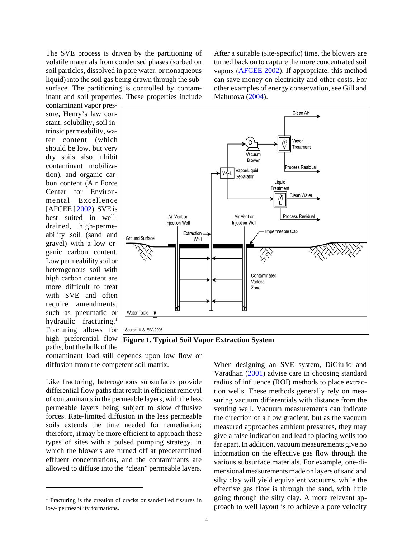The SVE process is driven by the partitioning of volatile materials from condensed phases (sorbed on soil particles, dissolved in pore water, or nonaqueous liquid) into the soil gas being drawn through the subsurface. The partitioning is controlled by contaminant and soil properties. These properties include After a suitable (site-specific) time, the blowers are turned back on to capture the more concentrated soil vapors [\(AFCEE 2002\).](#page-4-0) If appropriate, this method can save money on electricity and other costs. For other examples of energy conservation, see Gill and Mahutova [\(2004](#page-5-0)).

contaminant vapor pressure, Henry's law constant, solubility, soil intrinsic permeability, water content (which should be low, but very dry soils also inhibit contaminant mobilization), and organic carbon content (Air Force Center for Environmental Excellence [AFCEE ] [2002\)](#page-4-0). SVE is best suited in welldrained, high-permeability soil (sand and gravel) with a low organic carbon content. Low permeability soil or heterogenous soil with high carbon content are more difficult to treat with SVE and often require amendments, such as pneumatic or hydraulic fracturing.<sup>1</sup> Fracturing allows for paths, but the bulk of the



high preferential flow **Figure 1. Typical Soil Vapor Extraction System** 

contaminant load still depends upon low flow or diffusion from the competent soil matrix.

Like fracturing, heterogenous subsurfaces provide differential flow paths that result in efficient removal of contaminants in the permeable layers, with the less permeable layers being subject to slow diffusive forces. Rate-limited diffusion in the less permeable soils extends the time needed for remediation; therefore, it may be more efficient to approach these types of sites with a pulsed pumping strategy, in which the blowers are turned off at predetermined effluent concentrations, and the contaminants are allowed to diffuse into the "clean" permeable layers.

When designing an SVE system, DiGiulio and Varadhan [\(2001\)](#page-4-0) advise care in choosing standard radius of influence (ROI) methods to place extraction wells. These methods generally rely on measuring vacuum differentials with distance from the venting well. Vacuum measurements can indicate the direction of a flow gradient, but as the vacuum measured approaches ambient pressures, they may give a false indication and lead to placing wells too far apart. In addition, vacuum measurements give no information on the effective gas flow through the various subsurface materials. For example, one-dimensional measurements made on layers of sand and silty clay will yield equivalent vacuums, while the effective gas flow is through the sand, with little going through the silty clay. A more relevant approach to well layout is to achieve a pore velocity

<sup>1</sup> Fracturing is the creation of cracks or sand-filled fissures in low- permeability formations.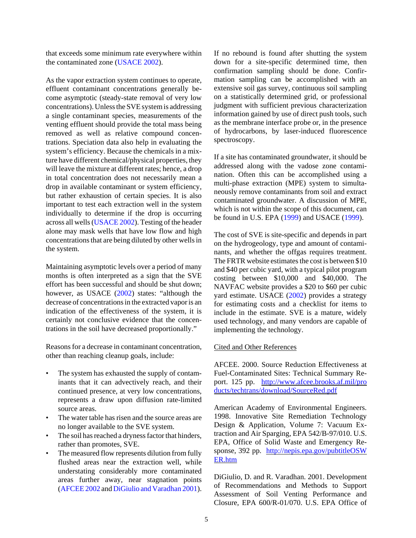<span id="page-4-0"></span>that exceeds some minimum rate everywhere within the contaminated zone ([USACE 2002\).](#page-5-0)

As the vapor extraction system continues to operate, effluent contaminant concentrations generally become asymptotic (steady-state removal of very low concentrations). Unless the SVE system is addressing a single contaminant species, measurements of the venting effluent should provide the total mass being removed as well as relative compound concentrations. Speciation data also help in evaluating the system's efficiency. Because the chemicals in a mixture have different chemical/physical properties, they will leave the mixture at different rates; hence, a drop in total concentration does not necessarily mean a drop in available contaminant or system efficiency, but rather exhaustion of certain species. It is also important to test each extraction well in the system individually to determine if the drop is occurring across all wells [\(USACE 2002\).](#page-5-0) Testing of the header alone may mask wells that have low flow and high concentrations that are being diluted by other wells in the system.

Maintaining asymptotic levels over a period of many months is often interpreted as a sign that the SVE effort has been successful and should be shut down; however, as USACE [\(2002](#page-5-0)) states: "although the decrease of concentrations in the extracted vapor is an indication of the effectiveness of the system, it is certainly not conclusive evidence that the concentrations in the soil have decreased proportionally."

Reasons for a decrease in contaminant concentration, other than reaching cleanup goals, include:

- The system has exhausted the supply of contaminants that it can advectively reach, and their continued presence, at very low concentrations, represents a draw upon diffusion rate-limited source areas.
- The water table has risen and the source areas are no longer available to the SVE system.
- The soil has reached a dryness factor that hinders, rather than promotes, SVE.
- The measured flow represents dilution from fully flushed areas near the extraction well, while understating considerably more contaminated areas further away, near stagnation points (AFCEE 2002 and DiGiulio and Varadhan 2001).

If no rebound is found after shutting the system down for a site-specific determined time, then confirmation sampling should be done. Confirmation sampling can be accomplished with an extensive soil gas survey, continuous soil sampling on a statistically determined grid, or professional judgment with sufficient previous characterization information gained by use of direct push tools, such as the membrane interface probe or, in the presence of hydrocarbons, by laser-induced fluorescence spectroscopy.

If a site has contaminated groundwater, it should be addressed along with the vadose zone contamination. Often this can be accomplished using a multi-phase extraction (MPE) system to simultaneously remove contaminants from soil and extract contaminated groundwater. A discussion of MPE, which is not within the scope of this document, can be found in U.S. EPA [\(1999\)](#page-5-0) and USACE [\(1999](#page-5-0)).

The cost of SVE is site-specific and depends in part on the hydrogeology, type and amount of contaminants, and whether the offgas requires treatment. The FRTR website estimates the cost is between \$10 and \$40 per cubic yard, with a typical pilot program costing between \$10,000 and \$40,000. The NAVFAC website provides a \$20 to \$60 per cubic yard estimate. USACE [\(2002](#page-5-0)) provides a strategy for estimating costs and a checklist for items to include in the estimate. SVE is a mature, widely used technology, and many vendors are capable of implementing the technology.

#### Cited and Other References

AFCEE. 2000. Source Reduction Effectiveness at Fuel-Contaminated Sites: Technical Summary Report. 125 pp. http://www.afcee.brooks.af.mil/pro ducts/techtrans/download/SourceRed.pdf

American Academy of Environmental Engineers. 1998. Innovative Site Remediation Technology Design & Application, Volume 7: Vacuum Extraction and Air Sparging, EPA 542/B-97/010. U.S. EPA, Office of Solid Waste and Emergency Response, 392 pp. http://nepis.epa.gov/pubtitleOSW ER.htm

DiGiulio, D. and R. Varadhan. 2001. Development of Recommendations and Methods to Support Assessment of Soil Venting Performance and Closure, EPA 600/R-01/070. U.S. EPA Office of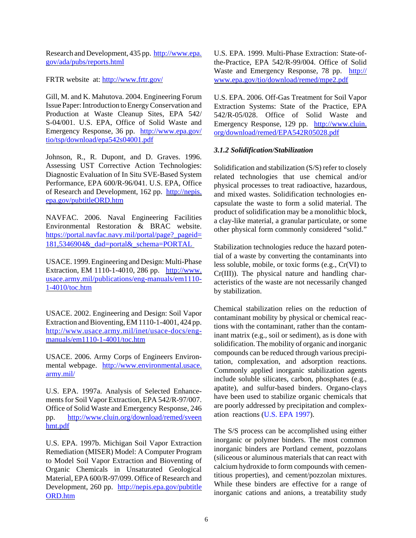<span id="page-5-0"></span>Research and Development, 435 pp. http://www.epa. gov/ada/pubs/reports.html

FRTR website at: http://www.frtr.gov/

Gill, M. and K. Mahutova. 2004. Engineering Forum Issue Paper: Introduction to Energy Conservation and Production at Waste Cleanup Sites, EPA 542/ S-04/001. U.S. EPA, Office of Solid Waste and Emergency Response, 36 pp. http://www.epa.gov/ tio/tsp/download/epa542s04001.pdf

Johnson, R., R. Dupont, and D. Graves. 1996. Assessing UST Corrective Action Technologies: Diagnostic Evaluation of In Situ SVE-Based System Performance, EPA 600/R-96/041. U.S. EPA, Office of Research and Development, 162 pp. http://nepis. epa.gov/pubtitleORD.htm

NAVFAC. 2006. Naval Engineering Facilities Environmental Restoration & BRAC website. https://portal.navfac.navy.mil/portal/page? pageid= 181,5346904&\_dad=portal&\_schema=PORTAL

USACE. 1999. Engineering and Design: Multi-Phase Extraction, EM 1110-1-4010, 286 pp. http://www. usace.army.mil/publications/eng-manuals/em1110 1-4010/toc.htm

USACE. 2002. Engineering and Design: Soil Vapor Extraction and Bioventing, EM 1110-1-4001, 424 pp. http://www.usace.army.mil/inet/usace-docs/engmanuals/em1110-1-4001/toc.htm

USACE. 2006. Army Corps of Engineers Environmental webpage. http://www.environmental.usace. army.mil/

U.S. EPA. 1997a. Analysis of Selected Enhancements for Soil Vapor Extraction, EPA 542/R-97/007. Office of Solid Waste and Emergency Response, 246 pp. http://www.cluin.org/download/remed/sveen hmt.pdf

U.S. EPA. 1997b. Michigan Soil Vapor Extraction Remediation (MISER) Model: A Computer Program to Model Soil Vapor Extraction and Bioventing of Organic Chemicals in Unsaturated Geological Material, EPA 600/R-97/099. Office of Research and Development, 260 pp. http://nepis.epa.gov/pubtitle ORD.htm

U.S. EPA. 1999. Multi-Phase Extraction: State-ofthe-Practice, EPA 542/R-99/004. Office of Solid Waste and Emergency Response, 78 pp. http:// [www.epa.gov/tio/download/remed/mpe2.pdf](http://www.epa.gov/tio/download/remed/mpe2.pdf) 

U.S. EPA. 2006. Off-Gas Treatment for Soil Vapor Extraction Systems: State of the Practice, EPA 542/R-05/028. Office of Solid Waste and Emergency Response, 129 pp. http://www.cluin. org/download/remed/EPA542R05028.pdf

# *3.1.2 Solidification/Stabilization*

Solidification and stabilization (S/S) refer to closely related technologies that use chemical and/or physical processes to treat radioactive, hazardous, and mixed wastes. Solidification technologies encapsulate the waste to form a solid material. The product of solidification may be a monolithic block, a clay-like material, a granular particulate, or some other physical form commonly considered "solid."

Stabilization technologies reduce the hazard potential of a waste by converting the contaminants into less soluble, mobile, or toxic forms (e.g., Cr(VI) to Cr(III)). The physical nature and handling characteristics of the waste are not necessarily changed by stabilization.

Chemical stabilization relies on the reduction of contaminant mobility by physical or chemical reactions with the contaminant, rather than the contaminant matrix (e.g., soil or sediment), as is done with solidification. The mobility of organic and inorganic compounds can be reduced through various precipitation, complexation, and adsorption reactions. Commonly applied inorganic stabilization agents include soluble silicates, carbon, phosphates (e.g., apatite), and sulfur-based binders. Organo-clays have been used to stabilize organic chemicals that are poorly addressed by precipitation and complexation reactions [\(U.S. EPA 1997\).](#page-7-0) 

The S/S process can be accomplished using either inorganic or polymer binders. The most common inorganic binders are Portland cement, pozzolans (siliceous or aluminous materials that can react with calcium hydroxide to form compounds with cementitious properties), and cement/pozzolan mixtures. While these binders are effective for a range of inorganic cations and anions, a treatability study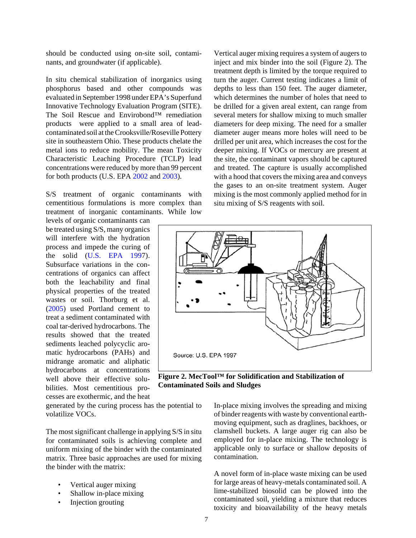should be conducted using on-site soil, contaminants, and groundwater (if applicable).

In situ chemical stabilization of inorganics using phosphorus based and other compounds was evaluated in September 1998 under EPA's Superfund Innovative Technology Evaluation Program (SITE). The Soil Rescue and Envirobond™ remediation products were applied to a small area of leadcontaminated soil at the Crooksville/Roseville Pottery site in southeastern Ohio. These products chelate the metal ions to reduce mobility. The mean Toxicity Characteristic Leaching Procedure (TCLP) lead concentrations were reduced by more than 99 percent for both products (U.S. EPA [2002](#page-8-0) and [2003](#page-8-0)).

S/S treatment of organic contaminants with cementitious formulations is more complex than treatment of inorganic contaminants. While low

levels of organic contaminants can be treated using S/S, many organics will interfere with the hydration process and impede the curing of the solid [\(U.S. EPA 1997\).](#page-7-0)  Subsurface variations in the concentrations of organics can affect both the leachability and final physical properties of the treated wastes or soil. Thorburg et al. [\(2005](#page-7-0)) used Portland cement to treat a sediment contaminated with coal tar-derived hydrocarbons. The results showed that the treated sediments leached polycyclic aromatic hydrocarbons (PAHs) and midrange aromatic and aliphatic hydrocarbons at concentrations bilities. Most cementitious pro- **Contaminated Soils and Sludges**  cesses are exothermic, and the heat

generated by the curing process has the potential to volatilize VOCs.

The most significant challenge in applying S/S in situ for contaminated soils is achieving complete and uniform mixing of the binder with the contaminated matrix. Three basic approaches are used for mixing the binder with the matrix:

- Vertical auger mixing
- Shallow in-place mixing
- Injection grouting

Vertical auger mixing requires a system of augers to inject and mix binder into the soil (Figure 2). The treatment depth is limited by the torque required to turn the auger. Current testing indicates a limit of depths to less than 150 feet. The auger diameter, which determines the number of holes that need to be drilled for a given areal extent, can range from several meters for shallow mixing to much smaller diameters for deep mixing. The need for a smaller diameter auger means more holes will need to be drilled per unit area, which increases the cost for the deeper mixing. If VOCs or mercury are present at the site, the contaminant vapors should be captured and treated. The capture is usually accomplished with a hood that covers the mixing area and conveys the gases to an on-site treatment system. Auger mixing is the most commonly applied method for in situ mixing of S/S reagents with soil.



well above their effective solu- **Figure 2. MecTool™ for Solidification and Stabilization of** 

In-place mixing involves the spreading and mixing of binder reagents with waste by conventional earthmoving equipment, such as draglines, backhoes, or clamshell buckets. A large auger rig can also be employed for in-place mixing. The technology is applicable only to surface or shallow deposits of contamination.

A novel form of in-place waste mixing can be used for large areas of heavy-metals contaminated soil. A lime-stabilized biosolid can be plowed into the contaminated soil, yielding a mixture that reduces toxicity and bioavailability of the heavy metals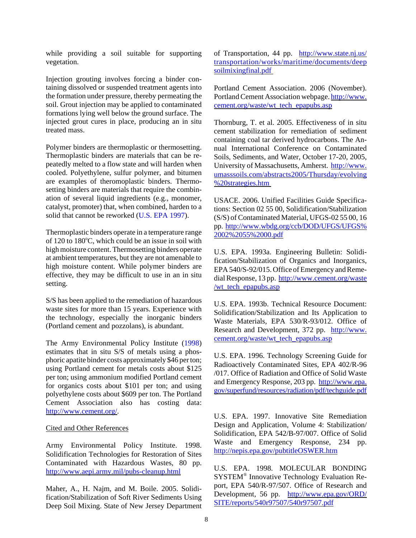<span id="page-7-0"></span>while providing a soil suitable for supporting vegetation.

Injection grouting involves forcing a binder containing dissolved or suspended treatment agents into the formation under pressure, thereby permeating the soil. Grout injection may be applied to contaminated formations lying well below the ground surface. The injected grout cures in place, producing an in situ treated mass.

Polymer binders are thermoplastic or thermosetting. Thermoplastic binders are materials that can be repeatedly melted to a flow state and will harden when cooled. Polyethylene, sulfur polymer, and bitumen are examples of theromoplastic binders. Thermosetting binders are materials that require the combination of several liquid ingredients (e.g., monomer, catalyst, promoter) that, when combined, harden to a solid that cannot be reworked (U.S. EPA 1997).

Thermoplastic binders operate in a temperature range of 120 to 180°C, which could be an issue in soil with high moisture content. Thermosetting binders operate at ambient temperatures, but they are not amenable to high moisture content. While polymer binders are effective, they may be difficult to use in an in situ setting.

S/S has been applied to the remediation of hazardous waste sites for more than 15 years. Experience with the technology, especially the inorganic binders (Portland cement and pozzolans), is abundant.

The Army Environmental Policy Institute (1998) estimates that in situ S/S of metals using a phosphoric apatite binder costs approximately \$46 per ton; using Portland cement for metals costs about \$125 per ton; using ammonium modified Portland cement for organics costs about \$101 per ton; and using polyethylene costs about \$609 per ton. The Portland Cement Association also has costing data: http://www.cement.org/.

#### Cited and Other References

Army Environmental Policy Institute. 1998. Solidification Technologies for Restoration of Sites Contaminated with Hazardous Wastes, 80 pp. http://www.aepi.army.mil/pubs-cleanup.html

Maher, A., H. Najm, and M. Boile. 2005. Solidification/Stabilization of Soft River Sediments Using Deep Soil Mixing. State of New Jersey Department

of Transportation, 44 pp. http://www.state.nj.us/ transportation/works/maritime/documents/deep soilmixingfinal.pdf

Portland Cement Association. 2006 (November). Portland Cement Association webpage. http://www. cement.org/waste/wt\_tech\_epapubs.asp

Thornburg, T. et al. 2005. Effectiveness of in situ cement stabilization for remediation of sediment containing coal tar derived hydrocarbons. The Annual International Conference on Contaminated Soils, Sediments, and Water, October 17-20, 2005, University of Massachusetts, Amherst. http://www. umasssoils.com/abstracts2005/Thursday/evolving %20strategies.htm

USACE. 2006. Unified Facilities Guide Specifications: Section 02 55 00, Solidification/Stabilization (S/S) of Contaminated Material, UFGS-02 55 00, 16 pp. http://www.wbdg.org/ccb/DOD/UFGS/UFGS% 2002%2055%2000.pdf

U.S. EPA. 1993a. Engineering Bulletin: Solidification/Stabilization of Organics and Inorganics, EPA 540/S-92/015. Office of Emergency and Remedial Response, 13 pp. http://www.cement.org/waste /wt\_tech\_epapubs.asp

U.S. EPA. 1993b. Technical Resource Document: Solidification/Stabilization and Its Application to Waste Materials, EPA 530/R-93/012. Office of Research and Development, 372 pp. http://www. cement.org/waste/wt\_tech\_epapubs.asp

U.S. EPA. 1996. Technology Screening Guide for Radioactively Contaminated Sites, EPA 402/R-96 /017. Office of Radiation and Office of Solid Waste and Emergency Response, 203 pp. http://www.epa. gov/superfund/resources/radiation/pdf/techguide.pdf

U.S. EPA. 1997. Innovative Site Remediation Design and Application, Volume 4: Stabilization/ Solidification, EPA 542/B-97/007. Office of Solid Waste and Emergency Response, 234 pp. http://nepis.epa.gov/pubtitleOSWER.htm

U.S. EPA. 1998. MOLECULAR BONDING SYSTEM® Innovative Technology Evaluation Report, EPA 540/R-97/507. Office of Research and Development, 56 pp. http://www.epa.gov/ORD/ SITE/reports/540r97507/540r97507.pdf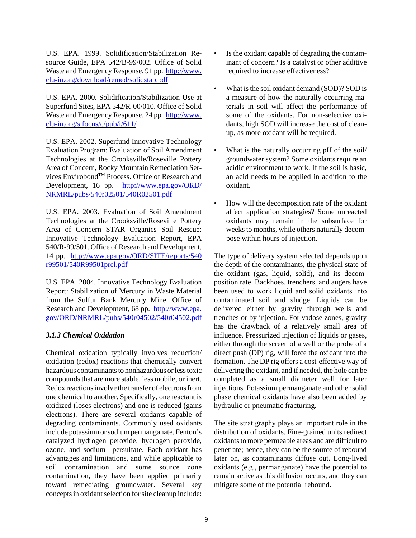<span id="page-8-0"></span>U.S. EPA. 1999. Solidification/Stabilization Resource Guide, EPA 542/B-99/002. Office of Solid Waste and Emergency Response, 91 pp. http://www. clu-in.org/download/remed/solidstab.pdf

U.S. EPA. 2000. Solidification/Stabilization Use at Superfund Sites, EPA 542/R-00/010. Office of Solid Waste and Emergency Response, 24 pp. http://www. clu-in.org/s.focus/c/pub/i/611/

U.S. EPA. 2002. Superfund Innovative Technology Evaluation Program: Evaluation of Soil Amendment Technologies at the Crooksville/Roseville Pottery Area of Concern, Rocky Mountain Remediation Services Envirobond™ Process. Office of Research and Development, 16 pp. http://www.epa.gov/ORD/ NRMRL/pubs/540r02501/540R02501.pdf

U.S. EPA. 2003. Evaluation of Soil Amendment Technologies at the Crooksville/Roseville Pottery Area of Concern STAR Organics Soil Rescue: Innovative Technology Evaluation Report, EPA 540/R-99/501. Office of Research and Development, 14 pp. http://www.epa.gov/ORD/SITE/reports/540 r99501/540R99501prel.pdf

U.S. EPA. 2004. Innovative Technology Evaluation Report: Stabilization of Mercury in Waste Material from the Sulfur Bank Mercury Mine. Office of Research and Development, 68 pp. http://www.epa. gov/ORD/NRMRL/pubs/540r04502/540r04502.pdf

# *3.1.3 Chemical Oxidation*

Chemical oxidation typically involves reduction/ oxidation (redox) reactions that chemically convert hazardous contaminants to nonhazardous or less toxic compounds that are more stable, less mobile, or inert. Redox reactions involve the transfer of electrons from one chemical to another. Specifically, one reactant is oxidized (loses electrons) and one is reduced (gains electrons). There are several oxidants capable of degrading contaminants. Commonly used oxidants include potassium or sodium permanganate, Fenton's catalyzed hydrogen peroxide, hydrogen peroxide, ozone, and sodium persulfate. Each oxidant has advantages and limitations, and while applicable to soil contamination and some source zone contamination, they have been applied primarily toward remediating groundwater. Several key concepts in oxidant selection for site cleanup include:

- Is the oxidant capable of degrading the contaminant of concern? Is a catalyst or other additive required to increase effectiveness?
- What is the soil oxidant demand (SOD)? SOD is a measure of how the naturally occurring materials in soil will affect the performance of some of the oxidants. For non-selective oxidants, high SOD will increase the cost of cleanup, as more oxidant will be required.
- What is the naturally occurring pH of the soil/ groundwater system? Some oxidants require an acidic environment to work. If the soil is basic, an acid needs to be applied in addition to the oxidant.
- How will the decomposition rate of the oxidant affect application strategies? Some unreacted oxidants may remain in the subsurface for weeks to months, while others naturally decompose within hours of injection.

The type of delivery system selected depends upon the depth of the contaminants, the physical state of the oxidant (gas, liquid, solid), and its decomposition rate. Backhoes, trenchers, and augers have been used to work liquid and solid oxidants into contaminated soil and sludge. Liquids can be delivered either by gravity through wells and trenches or by injection. For vadose zones, gravity has the drawback of a relatively small area of influence. Pressurized injection of liquids or gases, either through the screen of a well or the probe of a direct push (DP) rig, will force the oxidant into the formation. The DP rig offers a cost-effective way of delivering the oxidant, and if needed, the hole can be completed as a small diameter well for later injections. Potassium permanganate and other solid phase chemical oxidants have also been added by hydraulic or pneumatic fracturing.

The site stratigraphy plays an important role in the distribution of oxidants. Fine-grained units redirect oxidants to more permeable areas and are difficult to penetrate; hence, they can be the source of rebound later on, as contaminants diffuse out. Long-lived oxidants (e.g., permanganate) have the potential to remain active as this diffusion occurs, and they can mitigate some of the potential rebound.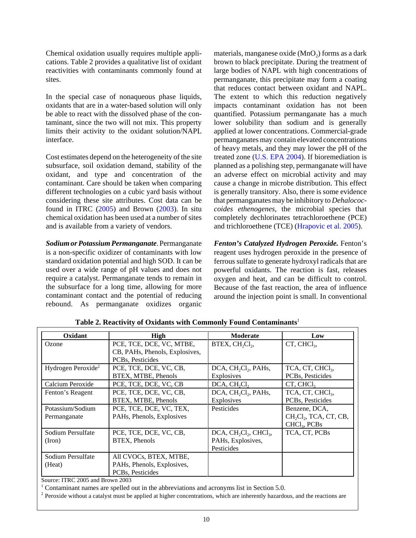Chemical oxidation usually requires multiple applications. Table 2 provides a qualitative list of oxidant reactivities with contaminants commonly found at sites.

In the special case of nonaqueous phase liquids, oxidants that are in a water-based solution will only be able to react with the dissolved phase of the contaminant, since the two will not mix. This property limits their activity to the oxidant solution/NAPL interface.

Cost estimates depend on the heterogeneity of the site subsurface, soil oxidation demand, stability of the oxidant, and type and concentration of the contaminant. Care should be taken when comparing different technologies on a cubic yard basis without considering these site attributes. Cost data can be found in ITRC  $(2005)$  and Brown  $(2003)$  $(2003)$ . In situ chemical oxidation has been used at a number of sites and is available from a variety of vendors.

*Sodium or Potassium Permanganate*. Permanganate is a non-specific oxidizer of contaminants with low standard oxidation potential and high SOD. It can be used over a wide range of pH values and does not require a catalyst. Permanganate tends to remain in the subsurface for a long time, allowing for more contaminant contact and the potential of reducing rebound. As permanganate oxidizes organic materials, manganese oxide  $(MnO<sub>2</sub>)$  forms as a dark brown to black precipitate. During the treatment of large bodies of NAPL with high concentrations of permanganate, this precipitate may form a coating that reduces contact between oxidant and NAPL. The extent to which this reduction negatively impacts contaminant oxidation has not been quantified. Potassium permanganate has a much lower solubility than sodium and is generally applied at lower concentrations. Commercial-grade permanganates may contain elevated concentrations of heavy metals, and they may lower the pH of the treated zone [\(U.S. EPA 2004\).](#page-11-0) If bioremediation is planned as a polishing step, permanganate will have an adverse effect on microbial activity and may cause a change in microbe distribution. This effect is generally transitory. Also, there is some evidence that permanganates may be inhibitory to *Dehalococcoides ethenogenes*, the microbial species that completely dechlorinates tetrachloroethene (PCE) and trichloroethene (TCE) ([Hrapovic et al. 2005\).](#page-10-0) 

*Fenton's Catalyzed Hydrogen Peroxide.* Fenton's reagent uses hydrogen peroxide in the presence of ferrous sulfate to generate hydroxyl radicals that are powerful oxidants. The reaction is fast, releases oxygen and heat, and can be difficult to control. Because of the fast reaction, the area of influence around the injection point is small. In conventional

| Oxidant                        | High                           | <b>Moderate</b>                                            | Low                                            |
|--------------------------------|--------------------------------|------------------------------------------------------------|------------------------------------------------|
| Ozone                          | PCE, TCE, DCE, VC, MTBE,       | BTEX, CH <sub>2</sub> Cl <sub>2</sub> ,                    | CT, CHCl <sub>3</sub> ,                        |
|                                | CB, PAHs, Phenols, Explosives, |                                                            |                                                |
|                                | PCBs, Pesticides               |                                                            |                                                |
| Hydrogen Peroxide <sup>2</sup> | PCE, TCE, DCE, VC, CB,         | DCA, CH <sub>2</sub> Cl <sub>2</sub> , PAH <sub>s</sub> ,  | TCA, CT, CHCl <sub>3</sub> ,                   |
|                                | BTEX, MTBE, Phenols            | Explosives                                                 | PCBs, Pesticides                               |
| Calcium Peroxide               | PCE, TCE, DCE, VC, CB          | DCA, CH <sub>2</sub> Cl <sub>2</sub>                       | CT, CHCl <sub>3</sub>                          |
| Fenton's Reagent               | PCE, TCE, DCE, VC, CB,         | DCA, CH <sub>2</sub> Cl <sub>2</sub> , PAH <sub>2</sub>    | TCA, CT, CHCl <sub>3</sub> ,                   |
|                                | BTEX, MTBE, Phenols            | Explosives                                                 | PCBs, Pesticides                               |
| Potassium/Sodium               | PCE, TCE, DCE, VC, TEX,        | Pesticides                                                 | Benzene, DCA,                                  |
| Permanganate                   | PAHs, Phenols, Explosives      |                                                            | CH <sub>2</sub> Cl <sub>2</sub> , TCA, CT, CB, |
|                                |                                |                                                            | CHCl <sub>3</sub> , PCBs                       |
| Sodium Persulfate              | PCE, TCE, DCE, VC, CB,         | DCA, CH <sub>2</sub> Cl <sub>2</sub> , CHCl <sub>3</sub> , | TCA, CT, PCBs                                  |
| (Iron)                         | <b>BTEX, Phenols</b>           | PAHs, Explosives,                                          |                                                |
|                                |                                | Pesticides                                                 |                                                |
| Sodium Persulfate              | All CVOCs, BTEX, MTBE,         |                                                            |                                                |
| (Heat)                         | PAHs, Phenols, Explosives,     |                                                            |                                                |
|                                | PCBs, Pesticides               |                                                            |                                                |

**Table 2. Reactivity of Oxidants with Commonly Found Contaminants**<sup>1</sup>

Source: ITRC 2005 and Brown 2003

<sup>1</sup> Contaminant names are spelled out in the abbreviations and acronyms list in Section 5.0.

<sup>2</sup> Peroxide without a catalyst must be applied at higher concentrations, which are inherently hazardous, and the reactions are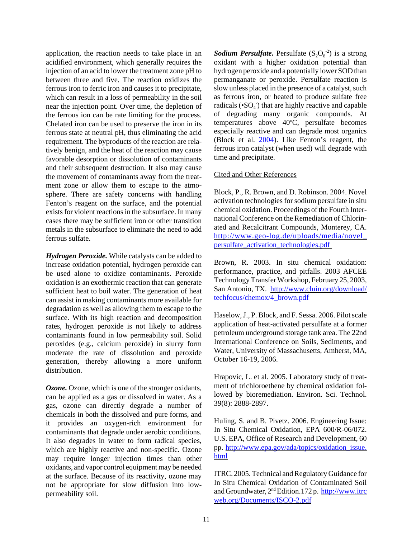<span id="page-10-0"></span>application, the reaction needs to take place in an acidified environment, which generally requires the injection of an acid to lower the treatment zone pH to between three and five. The reaction oxidizes the ferrous iron to ferric iron and causes it to precipitate, which can result in a loss of permeability in the soil near the injection point. Over time, the depletion of the ferrous ion can be rate limiting for the process. Chelated iron can be used to preserve the iron in its ferrous state at neutral pH, thus eliminating the acid requirement. The byproducts of the reaction are relatively benign, and the heat of the reaction may cause favorable desorption or dissolution of contaminants and their subsequent destruction. It also may cause the movement of contaminants away from the treatment zone or allow them to escape to the atmosphere. There are safety concerns with handling Fenton's reagent on the surface, and the potential exists for violent reactions in the subsurface. In many cases there may be sufficient iron or other transition metals in the subsurface to eliminate the need to add ferrous sulfate.

*Hydrogen Peroxide.* While catalysts can be added to increase oxidation potential, hydrogen peroxide can be used alone to oxidize contaminants. Peroxide oxidation is an exothermic reaction that can generate sufficient heat to boil water. The generation of heat can assist in making contaminants more available for degradation as well as allowing them to escape to the surface. With its high reaction and decomposition rates, hydrogen peroxide is not likely to address contaminants found in low permeability soil. Solid peroxides (e.g., calcium peroxide) in slurry form moderate the rate of dissolution and peroxide generation, thereby allowing a more uniform distribution.

*Ozone.* Ozone, which is one of the stronger oxidants, can be applied as a gas or dissolved in water. As a gas, ozone can directly degrade a number of chemicals in both the dissolved and pure forms, and it provides an oxygen-rich environment for contaminants that degrade under aerobic conditions. It also degrades in water to form radical species, which are highly reactive and non-specific. Ozone may require longer injection times than other oxidants, and vapor control equipment may be needed at the surface. Because of its reactivity, ozone may not be appropriate for slow diffusion into lowpermeability soil.

**Sodium Persulfate.** Persulfate  $(S_2O_8^{-2})$  is a strong oxidant with a higher oxidation potential than hydrogen peroxide and a potentially lower SOD than permanganate or peroxide. Persulfate reaction is slow unless placed in the presence of a catalyst, such as ferrous iron, or heated to produce sulfate free radicals  $(\bullet SO_4^-)$  that are highly reactive and capable of degrading many organic compounds. At  $temperatures$  above  $40^{\circ}$ C, persulfate becomes especially reactive and can degrade most organics (Block et al. 2004). Like Fenton's reagent, the ferrous iron catalyst (when used) will degrade with time and precipitate.

#### Cited and Other References

Block, P., R. Brown, and D. Robinson. 2004. Novel activation technologies for sodium persulfate in situ chemical oxidation. Proceedings of the Fourth International Conference on the Remediation of Chlorinated and Recalcitrant Compounds, Monterey, CA. http://www.geo-log.de/uploads/media/novel\_ persulfate\_activation\_technologies.pdf

Brown, R. 2003. In situ chemical oxidation: performance, practice, and pitfalls. 2003 AFCEE Technology Transfer Workshop, February 25, 2003, San Antonio, TX. http://www.cluin.org/download/ techfocus/chemox/4\_brown.pdf

Haselow, J., P. Block, and F. Sessa. 2006. Pilot scale application of heat-activated persulfate at a former petroleum underground storage tank area. The 22nd International Conference on Soils, Sediments, and Water, University of Massachusetts, Amherst, MA, October 16-19, 2006.

Hrapovic, L. et al. 2005. Laboratory study of treatment of trichloroethene by chemical oxidation followed by bioremediation. Environ. Sci. Technol. 39(8): 2888-2897.

Huling, S. and B. Pivetz. 2006. Engineering Issue: In Situ Chemical Oxidation, EPA 600/R-06/072. U.S. EPA, Office of Research and Development, 60 pp. http://www.epa.gov/ada/topics/oxidation\_issue. html

ITRC. 2005. Technical and Regulatory Guidance for In Situ Chemical Oxidation of Contaminated Soil and Groundwater,  $2<sup>nd</sup>$  Edition.172 p. http://www.itrc web.org/Documents/ISCO-2.pdf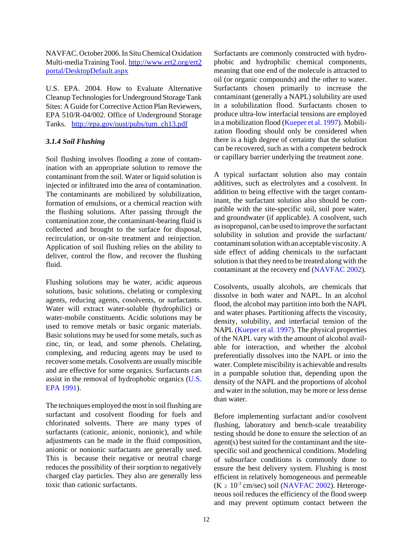<span id="page-11-0"></span>NAVFAC. October 2006. In Situ Chemical Oxidation Multi-media Training Tool. http://www.ert2.org/ert2 portal/DesktopDefault.aspx

U.S. EPA. 2004. How to Evaluate Alternative Cleanup Technologies for Underground Storage Tank Sites: A Guide for Corrective Action Plan Reviewers, EPA 510/R-04/002. Office of Underground Storage Tanks. http://epa.gov/oust/pubs/tum\_ch13.pdf

# *3.1.4 Soil Flushing*

Soil flushing involves flooding a zone of contamination with an appropriate solution to remove the contaminant from the soil. Water or liquid solution is injected or infiltrated into the area of contamination. The contaminants are mobilized by solubilization, formation of emulsions, or a chemical reaction with the flushing solutions. After passing through the contamination zone, the contaminant-bearing fluid is collected and brought to the surface for disposal, recirculation, or on-site treatment and reinjection. Application of soil flushing relies on the ability to deliver, control the flow, and recover the flushing fluid.

Flushing solutions may be water, acidic aqueous solutions, basic solutions, chelating or complexing agents, reducing agents, cosolvents, or surfactants. Water will extract water-soluble (hydrophilic) or water-mobile constituents. Acidic solutions may be used to remove metals or basic organic materials. Basic solutions may be used for some metals, such as zinc, tin, or lead, and some phenols. Chelating, complexing, and reducing agents may be used to recover some metals. Cosolvents are usually miscible and are effective for some organics. Surfactants can [assist in the removal of hydrophobic organics \(U.S.](#page-12-0)  EPA 1991).

The techniques employed the most in soil flushing are surfactant and cosolvent flooding for fuels and chlorinated solvents. There are many types of surfactants (cationic, anionic, nonionic), and while adjustments can be made in the fluid composition, anionic or nonionic surfactants are generally used. This is because their negative or neutral charge reduces the possibility of their sorption to negatively charged clay particles. They also are generally less toxic than cationic surfactants.

Surfactants are commonly constructed with hydrophobic and hydrophilic chemical components, meaning that one end of the molecule is attracted to oil (or organic compounds) and the other to water. Surfactants chosen primarily to increase the contaminant (generally a NAPL) solubility are used in a solubilization flood. Surfactants chosen to produce ultra-low interfacial tensions are employed in a mobilization flood [\(Kueper et al. 1997\).](#page-12-0) Mobilization flooding should only be considered when there is a high degree of certainty that the solution can be recovered, such as with a competent bedrock or capillary barrier underlying the treatment zone.

A typical surfactant solution also may contain additives, such as electrolytes and a cosolvent. In addition to being effective with the target contaminant, the surfactant solution also should be compatible with the site-specific soil, soil pore water, and groundwater (if applicable). A cosolvent, such as isopropanol, can be used to improve the surfactant solubility in solution and provide the surfactant/ contaminant solution with an acceptable viscosity. A side effect of adding chemicals to the surfactant solution is that they need to be treated along with the contaminant at the recovery end [\(NAVFAC 2002\).](#page-12-0) 

Cosolvents, usually alcohols, are chemicals that dissolve in both water and NAPL. In an alcohol flood, the alcohol may partition into both the NAPL and water phases. Partitioning affects the viscosity, density, solubility, and interfacial tension of the NAPL [\(Kueper et al. 1997\).](#page-12-0) The physical properties of the NAPL vary with the amount of alcohol available for interaction, and whether the alcohol preferentially dissolves into the NAPL or into the water. Complete miscibility is achievable and results in a pumpable solution that, depending upon the density of the NAPL and the proportions of alcohol and water in the solution, may be more or less dense than water.

Before implementing surfactant and/or cosolvent flushing, laboratory and bench-scale treatability testing should be done to ensure the selection of an agent(s) best suited for the contaminant and the sitespecific soil and geochemical conditions. Modeling of subsurface conditions is commonly done to ensure the best delivery system. Flushing is most efficient in relatively homogeneous and permeable  $(K \ge 10^{-3}$  cm/sec) soil ([NAVFAC 2002\).](#page-12-0) Heterogeneous soil reduces the efficiency of the flood sweep and may prevent optimum contact between the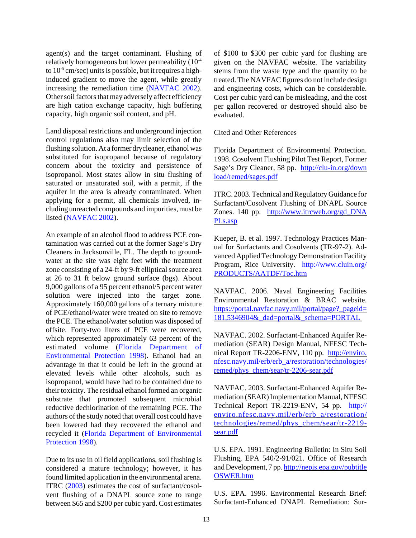<span id="page-12-0"></span>agent(s) and the target contaminant. Flushing of relatively homogeneous but lower permeability (10-4 to  $10^{-5}$  cm/sec) units is possible, but it requires a highinduced gradient to move the agent, while greatly increasing the remediation time (NAVFAC 2002). Other soil factors that may adversely affect efficiency are high cation exchange capacity, high buffering capacity, high organic soil content, and pH.

Land disposal restrictions and underground injection control regulations also may limit selection of the flushing solution. At a former drycleaner, ethanol was substituted for isopropanol because of regulatory concern about the toxicity and persistence of isopropanol. Most states allow in situ flushing of saturated or unsaturated soil, with a permit, if the aquifer in the area is already contaminated. When applying for a permit, all chemicals involved, including unreacted compounds and impurities, must be listed (NAVFAC 2002).

An example of an alcohol flood to address PCE contamination was carried out at the former Sage's Dry Cleaners in Jacksonville, FL. The depth to groundwater at the site was eight feet with the treatment zone consisting of a 24-ft by 9-ft elliptical source area at 26 to 31 ft below ground surface (bgs). About 9,000 gallons of a 95 percent ethanol/5 percent water solution were injected into the target zone. Approximately 160,000 gallons of a ternary mixture of PCE/ethanol/water were treated on site to remove the PCE. The ethanol/water solution was disposed of offsite. Forty-two liters of PCE were recovered, which represented approximately 63 percent of the estimated volume (Florida Department of Environmental Protection 1998). Ethanol had an advantage in that it could be left in the ground at elevated levels while other alcohols, such as isopropanol, would have had to be contained due to their toxicity. The residual ethanol formed an organic substrate that promoted subsequent microbial reductive dechlorination of the remaining PCE. The authors of the study noted that overall cost could have been lowered had they recovered the ethanol and recycled it (Florida Department of Environmental Protection 1998).

Due to its use in oil field applications, soil flushing is considered a mature technology; however, it has found limited application in the environmental arena. ITRC (2003) estimates the cost of surfactant/cosolvent flushing of a DNAPL source zone to range between \$65 and \$200 per cubic yard. Cost estimates of \$100 to \$300 per cubic yard for flushing are given on the NAVFAC website. The variability stems from the waste type and the quantity to be treated. The NAVFAC figures do not include design and engineering costs, which can be considerable. Cost per cubic yard can be misleading, and the cost per gallon recovered or destroyed should also be evaluated.

#### Cited and Other References

Florida Department of Environmental Protection. 1998. Cosolvent Flushing Pilot Test Report, Former Sage's Dry Cleaner, 58 pp. http://clu-in.org/down load/remed/sages.pdf

ITRC. 2003. Technical and Regulatory Guidance for Surfactant/Cosolvent Flushing of DNAPL Source Zones. 140 pp. http://www.itrcweb.org/gd\_DNA PLs.asp

Kueper, B. et al. 1997. Technology Practices Manual for Surfactants and Cosolvents (TR-97-2). Advanced Applied Technology Demonstration Facility Program, Rice University. http://www.cluin.org/ PRODUCTS/AATDF/Toc.htm

NAVFAC. 2006. Naval Engineering Facilities Environmental Restoration & BRAC website. https://portal.navfac.navy.mil/portal/page?\_pageid= 181,5346904&\_dad=portal&\_schema=PORTAL

NAVFAC. 2002. Surfactant-Enhanced Aquifer Remediation (SEAR) Design Manual, NFESC Technical Report TR-2206-ENV, 110 pp. http://enviro. nfesc.navy.mil/erb/erb\_a/restoration/technologies/ remed/phys\_chem/sear/tr-2206-sear.pdf

NAVFAC. 2003. Surfactant-Enhanced Aquifer Remediation (SEAR) Implementation Manual, NFESC [Technical Report TR-2219-ENV, 54 pp. http://](http://enviro.nfesc.navy.mil/erb/erb_a/restoration/technologies/remed/phys_chem/sear/tr-2219-sear.pdf) enviro.nfesc.navy.mil/erb/erb\_a/restoration/ technologies/remed/phys\_chem/sear/tr-2219 sear.pdf

U.S. EPA. 1991. Engineering Bulletin: In Situ Soil Flushing, EPA 540/2-91/021. Office of Research and Development, 7 pp. http://nepis.epa.gov/pubtitle OSWER.htm

U.S. EPA. 1996. Environmental Research Brief: Surfactant-Enhanced DNAPL Remediation: Sur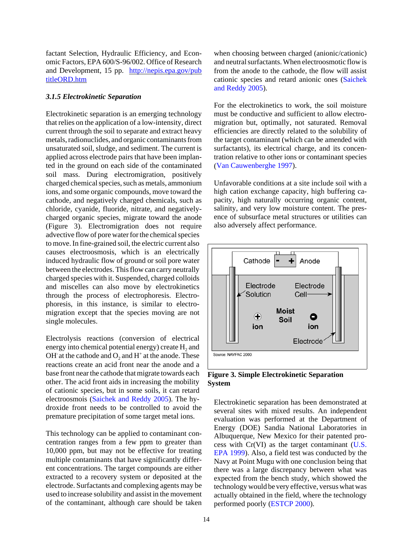<span id="page-13-0"></span>factant Selection, Hydraulic Efficiency, and Economic Factors, EPA 600/S-96/002. Office of Research and Development, 15 pp. http://nepis.epa.gov/pub titleORD.htm

#### *3.1.5 Electrokinetic Separation*

Electrokinetic separation is an emerging technology that relies on the application of a low-intensity, direct current through the soil to separate and extract heavy metals, radionuclides, and organic contaminants from unsaturated soil, sludge, and sediment. The current is applied across electrode pairs that have been implanted in the ground on each side of the contaminated soil mass. During electromigration, positively charged chemical species, such as metals, ammonium ions, and some organic compounds, move toward the cathode, and negatively charged chemicals, such as chloride, cyanide, fluoride, nitrate, and negativelycharged organic species, migrate toward the anode (Figure 3). Electromigration does not require advective flow of pore water for the chemical species to move. In fine-grained soil, the electric current also causes electroosmosis, which is an electrically induced hydraulic flow of ground or soil pore water between the electrodes. This flow can carry neutrally charged species with it. Suspended, charged colloids and miscelles can also move by electrokinetics through the process of electrophoresis. Electrophoresis, in this instance, is similar to electromigration except that the species moving are not single molecules.

Electrolysis reactions (conversion of electrical energy into chemical potential energy) create  $H_2$  and OH at the cathode and  $O_2$  and H<sup>+</sup> at the anode. These reactions create an acid front near the anode and a base front near the cathode that migrate towards each other. The acid front aids in increasing the mobility of cationic species, but in some soils, it can retard electroosmois ([Saichek and Reddy 2005](#page-14-0)). The hydroxide front needs to be controlled to avoid the premature precipitation of some target metal ions.

This technology can be applied to contaminant concentration ranges from a few ppm to greater than 10,000 ppm, but may not be effective for treating multiple contaminants that have significantly different concentrations. The target compounds are either extracted to a recovery system or deposited at the electrode. Surfactants and complexing agents may be used to increase solubility and assist in the movement of the contaminant, although care should be taken

when choosing between charged (anionic/cationic) and neutral surfactants. When electroosmotic flow is from the anode to the cathode, the flow will assist [cationic species and retard anionic ones \(Saichek](#page-14-0)  and Reddy 2005).

For the electrokinetics to work, the soil moisture must be conductive and sufficient to allow electromigration but, optimally, not saturated. Removal efficiencies are directly related to the solubility of the target contaminant (which can be amended with surfactants), its electrical charge, and its concentration relative to other ions or contaminant species ([Van Cauwenberghe 1997\).](#page-14-0) 

Unfavorable conditions at a site include soil with a high cation exchange capacity, high buffering capacity, high naturally occurring organic content, salinity, and very low moisture content. The presence of subsurface metal structures or utilities can also adversely affect performance.



**Figure 3. Simple Electrokinetic Separation System** 

Electrokinetic separation has been demonstrated at several sites with mixed results. An independent evaluation was performed at the Department of Energy (DOE) Sandia National Laboratories in Albuquerque, New Mexico for their patented process with  $Cr(VI)$  as the target contaminant  $(U.S.$ EPA 1999). Also, a field test was conducted by the Navy at Point Mugu with one conclusion being that there was a large discrepancy between what was expected from the bench study, which showed the technology would be very effective, versus what was actually obtained in the field, where the technology performed poorly ([ESTCP 2000\).](#page-14-0)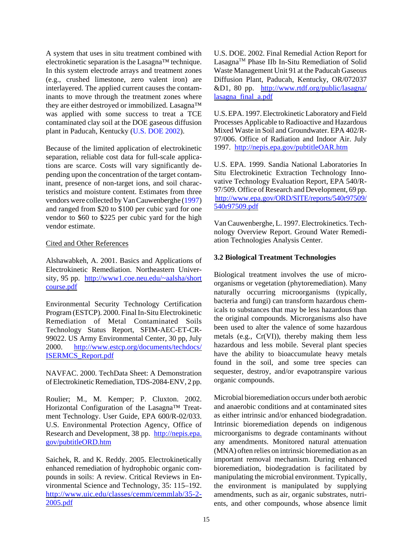<span id="page-14-0"></span>A system that uses in situ treatment combined with electrokinetic separation is the Lasagna™ technique. In this system electrode arrays and treatment zones (e.g., crushed limestone, zero valent iron) are interlayered. The applied current causes the contaminants to move through the treatment zones where they are either destroyed or immobilized. Lasagna™ was applied with some success to treat a TCE contaminated clay soil at the DOE gaseous diffusion plant in Paducah, Kentucky (U.S. DOE 2002).

Because of the limited application of electrokinetic separation, reliable cost data for full-scale applications are scarce. Costs will vary significantly depending upon the concentration of the target contaminant, presence of non-target ions, and soil characteristics and moisture content. Estimates from three vendors were collected by Van Cauwenberghe (1997) and ranged from \$20 to \$100 per cubic yard for one vendor to \$60 to \$225 per cubic yard for the high vendor estimate.

#### Cited and Other References

Alshawabkeh, A. 2001. Basics and Applications of Electrokinetic Remediation. Northeastern University, 95 pp. http://www1.coe.neu.edu/~aalsha/short course.pdf

Environmental Security Technology Certification Program (ESTCP). 2000. Final In-Situ Electrokinetic Remediation of Metal Contaminated Soils Technology Status Report, SFIM-AEC-ET-CR-99022. US Army Environmental Center, 30 pp, July 2000. http://www.estcp.org/documents/techdocs/ ISERMCS\_Report.pdf

NAVFAC. 2000. TechData Sheet: A Demonstration of Electrokinetic Remediation, TDS-2084-ENV, 2 pp.

Roulier; M., M. Kemper; P. Cluxton. 2002. Horizontal Configuration of the Lasagna™ Treatment Technology. User Guide, EPA 600/R-02/033. U.S. Environmental Protection Agency, Office of Research and Development, 38 pp. http://nepis.epa. gov/pubtitleORD.htm

Saichek, R. and K. Reddy. 2005. Electrokinetically enhanced remediation of hydrophobic organic compounds in soils: A review. Critical Reviews in Environmental Science and Technology, 35: 115–192. http://www.uic.edu/classes/cemm/cemmlab/35-2 2005.pdf

U.S. DOE. 2002. Final Remedial Action Report for LasagnaTM Phase IIb In-Situ Remediation of Solid Waste Management Unit 91 at the Paducah Gaseous Diffusion Plant, Paducah, Kentucky, OR/072037 &D1, 80 pp. http://www.rtdf.org/public/lasagna/ lasagna\_final\_a.pdf

U.S. EPA. 1997. Electrokinetic Laboratory and Field Processes Applicable to Radioactive and Hazardous Mixed Waste in Soil and Groundwater. EPA 402/R-97/006. Office of Radiation and Indoor Air. July 1997. http://nepis.epa.gov/pubtitleOAR.htm

U.S. EPA. 1999. Sandia National Laboratories In Situ Electrokinetic Extraction Technology Innovative Technology Evaluation Report, EPA 540/R-97/509. Office of Research and Development, 69 pp. http://www.epa.gov/ORD/SITE/reports/540r97509/ 540r97509.pdf

Van Cauwenberghe, L. 1997. Electrokinetics. Technology Overview Report. Ground Water Remediation Technologies Analysis Center.

# **3.2 Biological Treatment Technologies**

Biological treatment involves the use of microorganisms or vegetation (phytoremediation). Many naturally occurring microorganisms (typically, bacteria and fungi) can transform hazardous chemicals to substances that may be less hazardous than the original compounds. Microrganisms also have been used to alter the valence of some hazardous metals (e.g., Cr(VI)), thereby making them less hazardous and less mobile. Several plant species have the ability to bioaccumulate heavy metals found in the soil, and some tree species can sequester, destroy, and/or evapotranspire various organic compounds.

Microbial bioremediation occurs under both aerobic and anaerobic conditions and at contaminated sites as either intrinsic and/or enhanced biodegradation. Intrinsic bioremediation depends on indigenous microorganisms to degrade contaminants without any amendments. Monitored natural attenuation (MNA) often relies on intrinsic bioremediation as an important removal mechanism. During enhanced bioremediation, biodegradation is facilitated by manipulating the microbial environment. Typically, the environment is manipulated by supplying amendments, such as air, organic substrates, nutrients, and other compounds, whose absence limit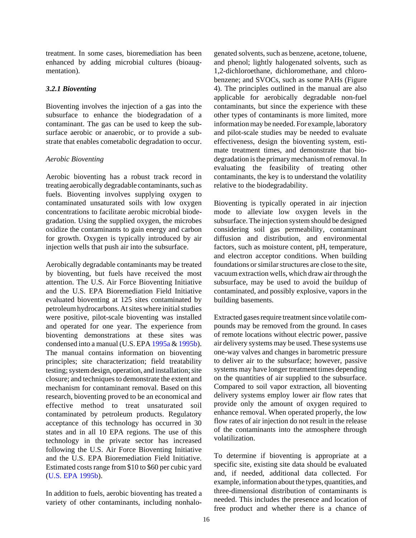<span id="page-15-0"></span>treatment. In some cases, bioremediation has been enhanced by adding microbial cultures (bioaugmentation).

#### *3.2.1 Bioventing*

Bioventing involves the injection of a gas into the subsurface to enhance the biodegradation of a contaminant. The gas can be used to keep the subsurface aerobic or anaerobic, or to provide a substrate that enables cometabolic degradation to occur.

# *Aerobic Bioventing*

Aerobic bioventing has a robust track record in treating aerobically degradable contaminants, such as fuels. Bioventing involves supplying oxygen to contaminated unsaturated soils with low oxygen concentrations to facilitate aerobic microbial biodegradation. Using the supplied oxygen, the microbes oxidize the contaminants to gain energy and carbon for growth. Oxygen is typically introduced by air injection wells that push air into the subsurface.

Aerobically degradable contaminants may be treated by bioventing, but fuels have received the most attention. The U.S. Air Force Bioventing Initiative and the U.S. EPA Bioremediation Field Initiative evaluated bioventing at 125 sites contaminated by petroleum hydrocarbons. At sites where initial studies were positive, pilot-scale bioventing was installed and operated for one year. The experience from bioventing demonstrations at these sites was condensed into a manual (U.S. EPA [1995a](#page-19-0) & [1995b\)](#page-19-0). The manual contains information on bioventing principles; site characterization; field treatability testing; system design, operation, and installation; site closure; and techniques to demonstrate the extent and mechanism for contaminant removal. Based on this research, bioventing proved to be an economical and effective method to treat unsaturated soil contaminated by petroleum products. Regulatory acceptance of this technology has occurred in 30 states and in all 10 EPA regions. The use of this technology in the private sector has increased following the U.S. Air Force Bioventing Initiative and the U.S. EPA Bioremediation Field Initiative. Estimated costs range from \$10 to \$60 per cubic yard [\(U.S. EPA 1995b\).](#page-19-0)

In addition to fuels, aerobic bioventing has treated a variety of other contaminants, including nonhalo-

genated solvents, such as benzene, acetone, toluene, and phenol; lightly halogenated solvents, such as 1,2-dichloroethane, dichloromethane, and chlorobenzene; and SVOCs, such as some PAHs (Figure 4). The principles outlined in the manual are also applicable for aerobically degradable non-fuel contaminants, but since the experience with these other types of contaminants is more limited, more information may be needed. For example, laboratory and pilot-scale studies may be needed to evaluate effectiveness, design the bioventing system, estimate treatment times, and demonstrate that biodegradation is the primary mechanism of removal. In evaluating the feasibility of treating other contaminants, the key is to understand the volatility relative to the biodegradability.

Bioventing is typically operated in air injection mode to alleviate low oxygen levels in the subsurface. The injection system should be designed considering soil gas permeability, contaminant diffusion and distribution, and environmental factors, such as moisture content, pH, temperature, and electron acceptor conditions. When building foundations or similar structures are close to the site, vacuum extraction wells, which draw air through the subsurface, may be used to avoid the buildup of contaminated, and possibly explosive, vapors in the building basements.

Extracted gases require treatment since volatile compounds may be removed from the ground. In cases of remote locations without electric power, passive air delivery systems may be used. These systems use one-way valves and changes in barometric pressure to deliver air to the subsurface; however, passive systems may have longer treatment times depending on the quantities of air supplied to the subsurface. Compared to soil vapor extraction, all bioventing delivery systems employ lower air flow rates that provide only the amount of oxygen required to enhance removal. When operated properly, the low flow rates of air injection do not result in the release of the contaminants into the atmosphere through volatilization.

To determine if bioventing is appropriate at a specific site, existing site data should be evaluated and, if needed, additional data collected. For example, information about the types, quantities, and three-dimensional distribution of contaminants is needed. This includes the presence and location of free product and whether there is a chance of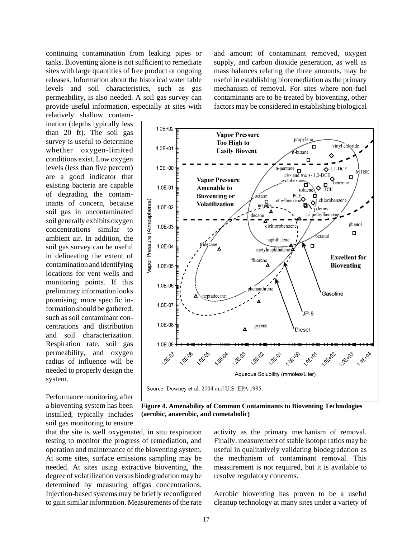continuing contamination from leaking pipes or tanks. Bioventing alone is not sufficient to remediate sites with large quantities of free product or ongoing releases. Information about the historical water table levels and soil characteristics, such as gas permeability, is also needed. A soil gas survey can provide useful information, especially at sites with and amount of contaminant removed, oxygen supply, and carbon dioxide generation, as well as mass balances relating the three amounts, may be useful in establishing bioremediation as the primary mechanism of removal. For sites where non-fuel contaminants are to be treated by bioventing, other factors may be considered in establishing biological

relatively shallow contamination (depths typically less than 20 ft). The soil gas survey is useful to determine whether oxygen-limited conditions exist. Low oxygen levels (less than five percent) are a good indicator that existing bacteria are capable of degrading the contaminants of concern, because soil gas in uncontaminated soil generally exhibits oxygen concentrations similar to ambient air. In addition, the soil gas survey can be useful in delineating the extent of contamination and identifying locations for vent wells and monitoring points. If this preliminary information looks promising, more specific information should be gathered, such as soil contaminant concentrations and distribution and soil characterization. Respiration rate, soil gas permeability, and oxygen radius of influence will be needed to properly design the system.

Performance monitoring, after soil gas monitoring to ensure

that the site is well oxygenated, in situ respiration testing to monitor the progress of remediation, and operation and maintenance of the bioventing system. At some sites, surface emissions sampling may be needed. At sites using extractive bioventing, the degree of volatilization versus biodegradation may be determined by measuring offgas concentrations. Injection-based systems may be briefly reconfigured to gain similar information. Measurements of the rate



a bioventing system has been **Figure 4. Amenability of Common Contaminants to Bioventing Technologies**  installed, typically includes **(aerobic, anaerobic, and cometabolic)** 

activity as the primary mechanism of removal. Finally, measurement of stable isotope ratios may be useful in qualitatively validating biodegradation as the mechanism of contaminant removal. This measurement is not required, but it is available to resolve regulatory concerns.

Aerobic bioventing has proven to be a useful cleanup technology at many sites under a variety of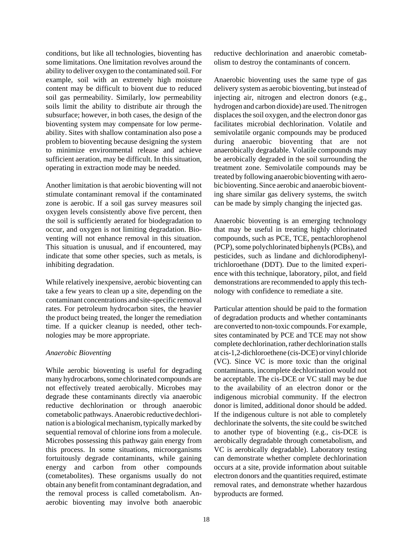conditions, but like all technologies, bioventing has some limitations. One limitation revolves around the ability to deliver oxygen to the contaminated soil. For example, soil with an extremely high moisture content may be difficult to biovent due to reduced soil gas permeability. Similarly, low permeability soils limit the ability to distribute air through the subsurface; however, in both cases, the design of the bioventing system may compensate for low permeability. Sites with shallow contamination also pose a problem to bioventing because designing the system to minimize environmental release and achieve sufficient aeration, may be difficult. In this situation, operating in extraction mode may be needed.

Another limitation is that aerobic bioventing will not stimulate contaminant removal if the contaminated zone is aerobic. If a soil gas survey measures soil oxygen levels consistently above five percent, then the soil is sufficiently aerated for biodegradation to occur, and oxygen is not limiting degradation. Bioventing will not enhance removal in this situation. This situation is unusual, and if encountered, may indicate that some other species, such as metals, is inhibiting degradation.

While relatively inexpensive, aerobic bioventing can take a few years to clean up a site, depending on the contaminant concentrations and site-specific removal rates. For petroleum hydrocarbon sites, the heavier the product being treated, the longer the remediation time. If a quicker cleanup is needed, other technologies may be more appropriate.

#### *Anaerobic Bioventing*

While aerobic bioventing is useful for degrading many hydrocarbons, some chlorinated compounds are not effectively treated aerobically. Microbes may degrade these contaminants directly via anaerobic reductive dechlorination or through anaerobic cometabolic pathways. Anaerobic reductive dechlorination is a biological mechanism, typically marked by sequential removal of chlorine ions from a molecule. Microbes possessing this pathway gain energy from this process. In some situations, microorganisms fortuitously degrade contaminants, while gaining energy and carbon from other compounds (cometabolites). These organisms usually do not obtain any benefit from contaminant degradation, and the removal process is called cometabolism. Anaerobic bioventing may involve both anaerobic reductive dechlorination and anaerobic cometabolism to destroy the contaminants of concern.

Anaerobic bioventing uses the same type of gas delivery system as aerobic bioventing, but instead of injecting air, nitrogen and electron donors (e.g., hydrogen and carbon dioxide) are used. The nitrogen displaces the soil oxygen, and the electron donor gas facilitates microbial dechlorination. Volatile and semivolatile organic compounds may be produced during anaerobic bioventing that are not anaerobically degradable. Volatile compounds may be aerobically degraded in the soil surrounding the treatment zone. Semivolatile compounds may be treated by following anaerobic bioventing with aerobic bioventing. Since aerobic and anaerobic bioventing share similar gas delivery systems, the switch can be made by simply changing the injected gas.

Anaerobic bioventing is an emerging technology that may be useful in treating highly chlorinated compounds, such as PCE, TCE, pentachlorophenol (PCP), some polychlorinated biphenyls (PCBs), and pesticides, such as lindane and dichlorodiphenyltrichloroethane (DDT). Due to the limited experience with this technique, laboratory, pilot, and field demonstrations are recommended to apply this technology with confidence to remediate a site.

Particular attention should be paid to the formation of degradation products and whether contaminants are converted to non-toxic compounds. For example, sites contaminated by PCE and TCE may not show complete dechlorination, rather dechlorination stalls at cis-1,2-dichloroethene (cis-DCE) or vinyl chloride (VC). Since VC is more toxic than the original contaminants, incomplete dechlorination would not be acceptable. The cis-DCE or VC stall may be due to the availability of an electron donor or the indigenous microbial community. If the electron donor is limited, additional donor should be added. If the indigenous culture is not able to completely dechlorinate the solvents, the site could be switched to another type of bioventing (e.g., cis-DCE is aerobically degradable through cometabolism, and VC is aerobically degradable). Laboratory testing can demonstrate whether complete dechlorination occurs at a site, provide information about suitable electron donors and the quantities required, estimate removal rates, and demonstrate whether hazardous byproducts are formed.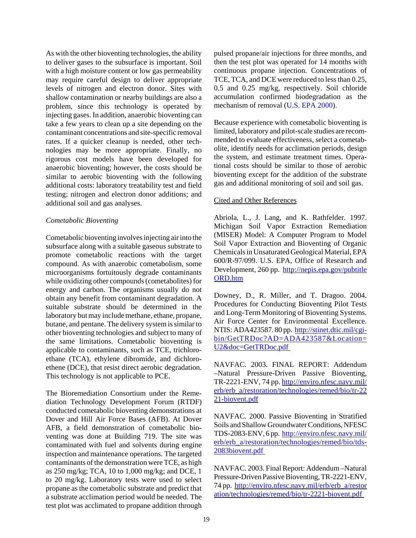As with the other bioventing technologies, the ability to deliver gases to the subsurface is important. Soil with a high moisture content or low gas permeability may require careful design to deliver appropriate levels of nitrogen and electron donor. Sites with shallow contamination or nearby buildings are also a problem, since this technology is operated by injecting gases. In addition, anaerobic bioventing can take a few years to clean up a site depending on the contaminant concentrations and site-specific removal rates. If a quicker cleanup is needed, other technologies may be more appropriate. Finally, no rigorous cost models have been developed for anaerobic bioventing; however, the costs should be similar to aerobic bioventing with the following additional costs: laboratory treatability test and field testing; nitrogen and electron donor additions; and additional soil and gas analyses.

#### *Cometabolic Bioventing*

Cometabolic bioventing involves injecting air into the subsurface along with a suitable gaseous substrate to promote cometabolic reactions with the target compound. As with anaerobic cometabolism, some microorganisms fortuitously degrade contaminants while oxidizing other compounds (cometabolites) for energy and carbon. The organisms usually do not obtain any benefit from contaminant degradation. A suitable substrate should be determined in the laboratory but may include methane, ethane, propane, butane, and pentane. The delivery system is similar to other bioventing technologies and subject to many of the same limitations. Cometabolic bioventing is applicable to contaminants, such as TCE, trichloroethane (TCA), ethylene dibromide, and dichloroethene (DCE), that resist direct aerobic degradation. This technology is not applicable to PCE.

The Bioremediation Consortium under the Remediation Technology Development Forum (RTDF) conducted cometabolic bioventing demonstrations at Dover and Hill Air Force Bases (AFB). At Dover AFB, a field demonstration of cometabolic bioventing was done at Building 719. The site was contaminated with fuel and solvents during engine inspection and maintenance operations. The targeted contaminants of the demonstration were TCE, as high as 250 mg/kg; TCA, 10 to 1,000 mg/kg; and DCE, 1 to 20 mg/kg. Laboratory tests were used to select propane as the cometabolic substrate and predict that a substrate acclimation period would be needed. The test plot was acclimated to propane addition through pulsed propane/air injections for three months, and then the test plot was operated for 14 months with continuous propane injection. Concentrations of TCE, TCA, and DCE were reduced to less than 0.25, 0.5 and 0.25 mg/kg, respectively. Soil chloride accumulation confirmed biodegradation as the mechanism of removal [\(U.S. EPA 2000\).](#page-19-0)

Because experience with cometabolic bioventing is limited, laboratory and pilot-scale studies are recommended to evaluate effectiveness, select a cometabolite, identify needs for acclimation periods, design the system, and estimate treatment times. Operational costs should be similar to those of aerobic bioventing except for the addition of the substrate gas and additional monitoring of soil and soil gas.

# Cited and Other References

Abriola, L., J. Lang, and K. Rathfelder. 1997. Michigan Soil Vapor Extraction Remediation (MISER) Model: A Computer Program to Model Soil Vapor Extraction and Bioventing of Organic Chemicals in Unsaturated Geological Material, EPA 600/R-97/099. U.S. EPA, Office of Research and Development, 260 pp. http://nepis.epa.gov/pubtitle ORD.htm

Downey, D., R. Miller, and T. Dragoo. 2004. Procedures for Conducting Bioventing Pilot Tests and Long-Term Monitoring of Bioventing Systems. Air Force Center for Environmental Excellence. NTIS: ADA423587. 80 pp. http://stinet.dtic.mil/cgibin/GetTRDoc?AD=ADA423587&Location= U2&doc=GetTRDoc.pdf

NAVFAC. 2003. FINAL REPORT: Addendum –Natural Pressure-Driven Passive Bioventing, TR-2221-ENV, 74 pp. http://enviro.nfesc.navy.mil/ erb/erb\_a/restoration/technologies/remed/bio/tr-22 21-biovent.pdf

NAVFAC. 2000. Passive Bioventing in Stratified Soils and Shallow Groundwater Conditions, NFESC TDS-2083-ENV, 6 pp. http://enviro.nfesc.navy.mil/ erb/erb\_a/restoration/technologies/remed/bio/tds-2083biovent.pdf

NAVFAC. 2003. Final Report: Addendum –Natural Pressure-Driven Passive Bioventing, TR-2221-ENV, 74 pp. http://enviro.nfesc.navy.mil/erb/erb\_a/restor ation/technologies/remed/bio/tr-2221-biovent.pdf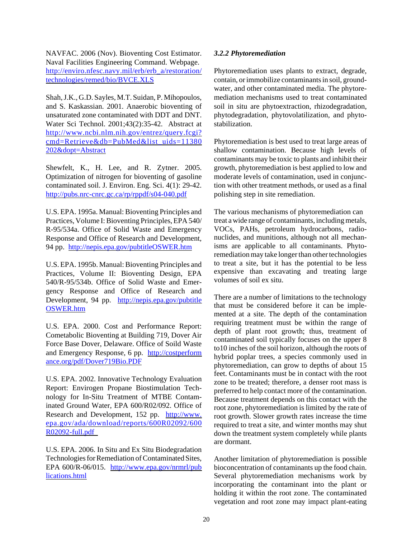<span id="page-19-0"></span>NAVFAC. 2006 (Nov). Bioventing Cost Estimator. Naval Facilities Engineering Command. Webpage. http://enviro.nfesc.navy.mil/erb/erb\_a/restoration/ technologies/remed/bio/BVCE.XLS

Shah, J.K., G.D. Sayles, M.T. Suidan, P. Mihopoulos, and S. Kaskassian. 2001. Anaerobic bioventing of unsaturated zone contaminated with DDT and DNT. Water Sci Technol. 2001;43(2):35-42. Abstract at http://www.ncbi.nlm.nih.gov/entrez/query.fcgi? cmd=Retrieve&db=PubMed&list\_uids=11380 202&dopt=Abstract

Shewfelt, K., H. Lee, and R. Zytner. 2005. Optimization of nitrogen for bioventing of gasoline contaminated soil. J. Environ. Eng. Sci. 4(1): 29-42. http://pubs.nrc-cnrc.gc.ca/rp/rppdf/s04-040.pdf

U.S. EPA. 1995a. Manual: Bioventing Principles and Practices, Volume I: Bioventing Principles, EPA 540/ R-95/534a. Office of Solid Waste and Emergency Response and Office of Research and Development, 94 pp. http://nepis.epa.gov/pubtitleOSWER.htm

U.S. EPA. 1995b. Manual: Bioventing Principles and Practices, Volume II: Bioventing Design, EPA 540/R-95/534b. Office of Solid Waste and Emergency Response and Office of Research and Development, 94 pp. http://nepis.epa.gov/pubtitle OSWER.htm

U.S. EPA. 2000. Cost and Performance Report: Cometabolic Bioventing at Building 719, Dover Air Force Base Dover, Delaware. Office of Soild Waste and Emergency Response, 6 pp. http://costperform ance.org/pdf/Dover719Bio.PDF

U.S. EPA. 2002. Innovative Technology Evaluation Report: Envirogen Propane Biostimulation Technology for In-Situ Treatment of MTBE Contaminated Ground Water, EPA 600/R02/092. Office of Research and Development, 152 pp. http://www. epa.gov/ada/download/reports/600R02092/600 R02092-full.pdf

U.S. EPA. 2006. In Situ and Ex Situ Biodegradation Technologies for Remediation of Contaminated Sites, EPA 600/R-06/015. http://www.epa.gov/nrmrl/pub lications.html

# *3.2.2 Phytoremediation*

Phytoremediation uses plants to extract, degrade, contain, or immobilize contaminants in soil, groundwater, and other contaminated media. The phytoremediation mechanisms used to treat contaminated soil in situ are phytoextraction, rhizodegradation, phytodegradation, phytovolatilization, and phytostabilization.

Phytoremediation is best used to treat large areas of shallow contamination. Because high levels of contaminants may be toxic to plants and inhibit their growth, phytoremediation is best applied to low and moderate levels of contamination, used in conjunction with other treatment methods, or used as a final polishing step in site remediation.

The various mechanisms of phytoremediation can treat a wide range of contaminants, including metals, VOCs, PAHs, petroleum hydrocarbons, radionuclides, and munitions, although not all mechanisms are applicable to all contaminants. Phytoremediation may take longer than other technologies to treat a site, but it has the potential to be less expensive than excavating and treating large volumes of soil ex situ.

There are a number of limitations to the technology that must be considered before it can be implemented at a site. The depth of the contamination requiring treatment must be within the range of depth of plant root growth; thus, treatment of contaminated soil typically focuses on the upper 8 to10 inches of the soil horizon, although the roots of hybrid poplar trees, a species commonly used in phytoremediation, can grow to depths of about 15 feet. Contaminants must be in contact with the root zone to be treated; therefore, a denser root mass is preferred to help contact more of the contamination. Because treatment depends on this contact with the root zone, phytoremediation is limited by the rate of root growth. Slower growth rates increase the time required to treat a site, and winter months may shut down the treatment system completely while plants are dormant.

Another limitation of phytoremediation is possible bioconcentration of contaminants up the food chain. Several phytoremediation mechanisms work by incorporating the contaminant into the plant or holding it within the root zone. The contaminated vegetation and root zone may impact plant-eating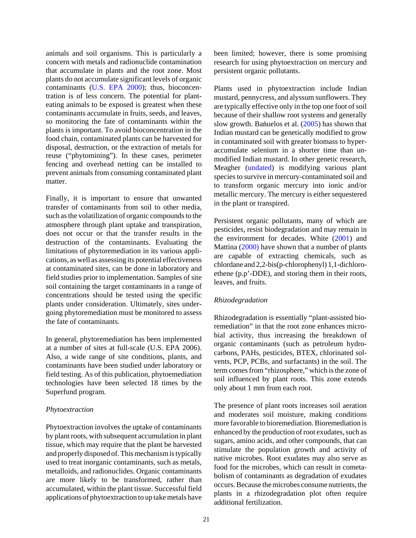animals and soil organisms. This is particularly a concern with metals and radionuclide contamination that accumulate in plants and the root zone. Most plants do not accumulate significant levels of organic contaminants [\(U.S. EPA 2000\);](#page-22-0) thus, bioconcentration is of less concern. The potential for planteating animals to be exposed is greatest when these contaminants accumulate in fruits, seeds, and leaves, so monitoring the fate of contaminants within the plants is important. To avoid bioconcentration in the food chain, contaminated plants can be harvested for disposal, destruction, or the extraction of metals for reuse ("phytomining"). In these cases, perimeter fencing and overhead netting can be installed to prevent animals from consuming contaminated plant matter.

Finally, it is important to ensure that unwanted transfer of contaminants from soil to other media, such as the volatilization of organic compounds to the atmosphere through plant uptake and transpiration, does not occur or that the transfer results in the destruction of the contaminants. Evaluating the limitations of phytoremediation in its various applications, as well as assessing its potential effectiveness at contaminated sites, can be done in laboratory and field studies prior to implementation. Samples of site soil containing the target contaminants in a range of concentrations should be tested using the specific plants under consideration. Ultimately, sites undergoing phytoremediation must be monitored to assess the fate of contaminants.

In general, phytoremediation has been implemented at a number of sites at full-scale (U.S. EPA 2006). Also, a wide range of site conditions, plants, and contaminants have been studied under laboratory or field testing. As of this publication, phytoemediation technologies have been selected 18 times by the Superfund program.

#### *Phytoextraction*

Phytoextraction involves the uptake of contaminants by plant roots, with subsequent accumulation in plant tissue, which may require that the plant be harvested and properly disposed of. This mechanism is typically used to treat inorganic contaminants, such as metals, metalloids, and radionuclides. Organic contaminants are more likely to be transformed, rather than accumulated, within the plant tissue. Successful field applications of phytoextraction to up take metals have been limited; however, there is some promising research for using phytoextraction on mercury and persistent organic pollutants.

Plants used in phytoextraction include Indian mustard, pennycress, and alyssum sunflowers. They are typically effective only in the top one foot of soil because of their shallow root systems and generally slow growth. Baňuelos et al. [\(2005](#page-21-0)) has shown that Indian mustard can be genetically modified to grow in contaminated soil with greater biomass to hyperaccumulate selenium in a shorter time than unmodified Indian mustard. In other genetic research, Meagher [\(undated\)](#page-22-0) is modifying various plant species to survive in mercury-contaminated soil and to transform organic mercury into ionic and/or metallic mercury. The mercury is either sequestered in the plant or transpired.

Persistent organic pollutants, many of which are pesticides, resist biodegradation and may remain in the environment for decades. White ([2001\)](#page-22-0) and Mattina ([2000\)](#page-22-0) have shown that a number of plants are capable of extracting chemicals, such as chlordane and 2,2-bis(p-chlorophenyl) 1,1-dichloroethene (p.p'-DDE), and storing them in their roots, leaves, and fruits.

# *Rhizodegradation*

Rhizodegradation is essentially "plant-assisted bioremediation" in that the root zone enhances microbial activity, thus increasing the breakdown of organic contaminants (such as petroleum hydrocarbons, PAHs, pesticides, BTEX, chlorinated solvents, PCP, PCBs, and surfactants) in the soil. The term comes from "rhizosphere," which is the zone of soil influenced by plant roots. This zone extends only about 1 mm from each root.

The presence of plant roots increases soil aeration and moderates soil moisture, making conditions more favorable to bioremediation. Bioremediation is enhanced by the production of root exudates, such as sugars, amino acids, and other compounds, that can stimulate the population growth and activity of native microbes. Root exudates may also serve as food for the microbes, which can result in cometabolism of contaminants as degradation of exudates occurs. Because the microbes consume nutrients, the plants in a rhizodegradation plot often require additional fertilization.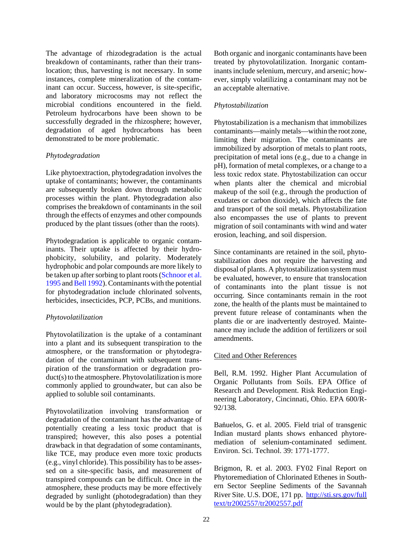<span id="page-21-0"></span>The advantage of rhizodegradation is the actual breakdown of contaminants, rather than their translocation; thus, harvesting is not necessary. In some instances, complete mineralization of the contaminant can occur. Success, however, is site-specific, and laboratory microcosms may not reflect the microbial conditions encountered in the field. Petroleum hydrocarbons have been shown to be successfully degraded in the rhizosphere; however, degradation of aged hydrocarbons has been demonstrated to be more problematic.

#### *Phytodegradation*

Like phytoextraction, phytodegradation involves the uptake of contaminants; however, the contaminants are subsequently broken down through metabolic processes within the plant. Phytodegradation also comprises the breakdown of contaminants in the soil through the effects of enzymes and other compounds produced by the plant tissues (other than the roots).

Phytodegradation is applicable to organic contaminants. Their uptake is affected by their hydrophobicity, solubility, and polarity. Moderately hydrophobic and polar compounds are more likely to [be taken up after sorbing to plant roots \(Schnoor et al.](#page-22-0) 1995 and Bell 1992). Contaminants with the potential for phytodegradation include chlorinated solvents, herbicides, insecticides, PCP, PCBs, and munitions.

# *Phytovolatilization*

Phytovolatilization is the uptake of a contaminant into a plant and its subsequent transpiration to the atmosphere, or the transformation or phytodegradation of the contaminant with subsequent transpiration of the transformation or degradation product(s) to the atmosphere. Phytovolatilization is more commonly applied to groundwater, but can also be applied to soluble soil contaminants.

Phytovolatilization involving transformation or degradation of the contaminant has the advantage of potentially creating a less toxic product that is transpired; however, this also poses a potential drawback in that degradation of some contaminants, like TCE, may produce even more toxic products (e.g., vinyl chloride). This possibility has to be assessed on a site-specific basis, and measurement of transpired compounds can be difficult. Once in the atmosphere, these products may be more effectively degraded by sunlight (photodegradation) than they would be by the plant (phytodegradation).

Both organic and inorganic contaminants have been treated by phytovolatilization. Inorganic contaminants include selenium, mercury, and arsenic; however, simply volatilizing a contaminant may not be an acceptable alternative.

#### *Phytostabilization*

Phytostabilization is a mechanism that immobilizes contaminants—mainly metals—within the root zone, limiting their migration. The contaminants are immobilized by adsorption of metals to plant roots, precipitation of metal ions (e.g., due to a change in pH), formation of metal complexes, or a change to a less toxic redox state. Phytostabilization can occur when plants alter the chemical and microbial makeup of the soil (e.g., through the production of exudates or carbon dioxide), which affects the fate and transport of the soil metals. Phytostabilization also encompasses the use of plants to prevent migration of soil contaminants with wind and water erosion, leaching, and soil dispersion.

Since contaminants are retained in the soil, phytostabilization does not require the harvesting and disposal of plants. A phytostabilization system must be evaluated, however, to ensure that translocation of contaminants into the plant tissue is not occurring. Since contaminants remain in the root zone, the health of the plants must be maintained to prevent future release of contaminants when the plants die or are inadvertently destroyed. Maintenance may include the addition of fertilizers or soil amendments.

# Cited and Other References

Bell, R.M. 1992. Higher Plant Accumulation of Organic Pollutants from Soils. EPA Office of Research and Development. Risk Reduction Engineering Laboratory, Cincinnati, Ohio. EPA 600/R-92/138.

Baňuelos, G. et al. 2005. Field trial of transgenic Indian mustard plants shows enhanced phytoremediation of selenium-contaminated sediment. Environ. Sci. Technol. 39: 1771-1777.

Brigmon, R. et al. 2003. FY02 Final Report on Phytoremediation of Chlorinated Ethenes in Southern Sector Seepline Sediments of the Savannah River Site. U.S. DOE, 171 pp. http://sti.srs.gov/full text/tr2002557/tr2002557.pdf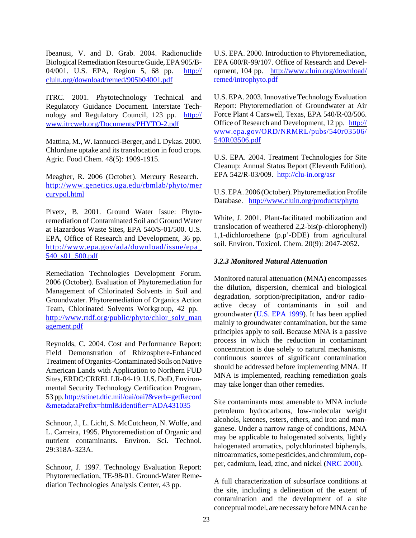<span id="page-22-0"></span>Ibeanusi, V. and D. Grab. 2004. Radionuclide Biological Remediation Resource Guide, EPA 905/B-04/001. U.S. EPA, Region 5, 68 pp. http:// [cluin.org/download/remed/905b04001.pdf](http://cluin.org/download/remed/905b04001.pdf) 

ITRC. 2001. Phytotechnology Technical and Regulatory Guidance Document. Interstate Technology and Regulatory Council, 123 pp. http:// [www.itrcweb.org/Documents/PHYTO-2.pdf](http://www.itrcweb.org/Documents/PHYTO-2.pdf) 

Mattina, M., W. Iannucci-Berger, and L Dykas. 2000. Chlordane uptake and its translocation in food crops. Agric. Food Chem. 48(5): 1909-1915.

Meagher, R. 2006 (October). Mercury Research. http://www.genetics.uga.edu/rbmlab/phyto/mer curypol.html

Pivetz, B. 2001. Ground Water Issue: Phytoremediation of Contaminated Soil and Ground Water at Hazardous Waste Sites, EPA 540/S-01/500. U.S. EPA, Office of Research and Development, 36 pp. http://www.epa.gov/ada/download/issue/epa\_ 540 s01 500.pdf

Remediation Technologies Development Forum. 2006 (October). Evaluation of Phytoremediation for Management of Chlorinated Solvents in Soil and Groundwater. Phytoremediation of Organics Action Team, Chlorinated Solvents Workgroup, 42 pp. http://www.rtdf.org/public/phyto/chlor\_solv\_man agement.pdf

Reynolds, C. 2004. Cost and Performance Report: Field Demonstration of Rhizosphere-Enhanced Treatment of Organics-Contaminated Soils on Native American Lands with Application to Northern FUD Sites, ERDC/CRREL LR-04-19. U.S. DoD, Environmental Security Technology Certification Program, 53 pp. http://stinet.dtic.mil/oai/oai?&verb=getRecord &metadataPrefix=html&identifier=ADA431035

Schnoor, J., L. Licht, S. McCutcheon, N. Wolfe, and L. Carreira, 1995. Phytoremediation of Organic and nutrient contaminants. Environ. Sci. Technol. 29:318A-323A.

Schnoor, J. 1997. Technology Evaluation Report: Phytoremediation, TE-98-01. Ground-Water Remediation Technologies Analysis Center, 43 pp.

U.S. EPA. 2000. Introduction to Phytoremediation, EPA 600/R-99/107. Office of Research and Development, 104 pp. http://www.cluin.org/download/ remed/introphyto.pdf

U.S. EPA. 2003. Innovative Technology Evaluation Report: Phytoremediation of Groundwater at Air Force Plant 4 Carswell, Texas, EPA 540/R-03/506. Office of Research and Development, 12 pp. [http://](http://www.epa.gov/ORD/NRMRL/pubs/540r03506/540R03506.pdf) [www.epa.gov/ORD/NRMRL/pubs/540r03506/](http://www.epa.gov/ORD/NRMRL/pubs/540r03506/540R03506.pdf) 540R03506.pdf

U.S. EPA. 2004. Treatment Technologies for Site Cleanup: Annual Status Report (Eleventh Edition). EPA 542/R-03/009. http://clu-in.org/asr

U.S.EPA. 2006 (October). Phytoremediation Profile Database. http://www.cluin.org/products/phyto

White, J. 2001. Plant-facilitated mobilization and translocation of weathered 2,2-bis(p-chlorophenyl) 1,1-dichloroethene (p.p'-DDE) from agricultural soil. Environ. Toxicol. Chem. 20(9): 2047-2052.

#### *3.2.3 Monitored Natural Attenuation*

Monitored natural attenuation (MNA) encompasses the dilution, dispersion, chemical and biological degradation, sorption/precipitation, and/or radioactive decay of contaminants in soil and groundwater [\(U.S. EPA 1999\).](#page-23-0) It has been applied mainly to groundwater contamination, but the same principles apply to soil. Because MNA is a passive process in which the reduction in contaminant concentration is due solely to natural mechanisms, continuous sources of significant contamination should be addressed before implementing MNA. If MNA is implemented, reaching remediation goals may take longer than other remedies.

Site contaminants most amenable to MNA include petroleum hydrocarbons, low-molecular weight alcohols, ketones, esters, ethers, and iron and manganese. Under a narrow range of conditions, MNA may be applicable to halogenated solvents, lightly halogenated aromatics, polychlorinated biphenyls, nitroaromatics, some pesticides, and chromium, copper, cadmium, lead, zinc, and nickel [\(NRC 2000\).](#page-23-0)

A full characterization of subsurface conditions at the site, including a delineation of the extent of contamination and the development of a site conceptual model, are necessary before MNA can be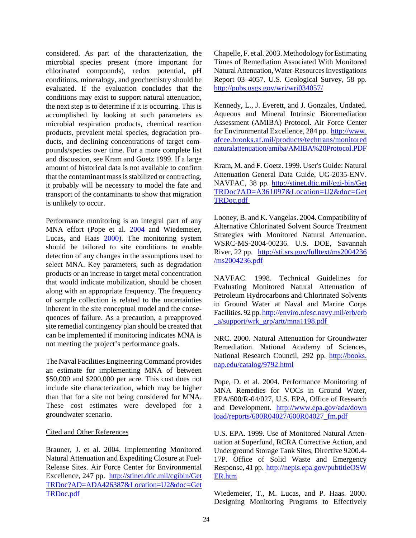<span id="page-23-0"></span>considered. As part of the characterization, the microbial species present (more important for chlorinated compounds), redox potential, pH conditions, mineralogy, and geochemistry should be evaluated. If the evaluation concludes that the conditions may exist to support natural attenuation, the next step is to determine if it is occurring. This is accomplished by looking at such parameters as microbial respiration products, chemical reaction products, prevalent metal species, degradation products, and declining concentrations of target compounds/species over time. For a more complete list and discussion, see Kram and Goetz 1999. If a large amount of historical data is not available to confirm that the contaminant mass is stabilized or contracting, it probably will be necessary to model the fate and transport of the contaminants to show that migration is unlikely to occur.

Performance monitoring is an integral part of any MNA effort (Pope et al. 2004 and Wiedemeier, Lucas, and Haas 2000). The monitoring system should be tailored to site conditions to enable detection of any changes in the assumptions used to select MNA. Key parameters, such as degradation products or an increase in target metal concentration that would indicate mobilization, should be chosen along with an appropriate frequency. The frequency of sample collection is related to the uncertainties inherent in the site conceptual model and the consequences of failure. As a precaution, a preapproved site remedial contingency plan should be created that can be implemented if monitoring indicates MNA is not meeting the project's performance goals.

The Naval Facilities Engineering Command provides an estimate for implementing MNA of between \$50,000 and \$200,000 per acre. This cost does not include site characterization, which may be higher than that for a site not being considered for MNA. These cost estimates were developed for a groundwater scenario.

# Cited and Other References

Brauner, J. et al. 2004. Implementing Monitored Natural Attenuation and Expediting Closure at Fuel-Release Sites. Air Force Center for Environmental Excellence, 247 pp. http://stinet.dtic.mil/cgibin/Get TRDoc?AD=ADA426387&Location=U2&doc=Get TRDoc.pdf

Chapelle, F. et al. 2003. Methodology for Estimating Times of Remediation Associated With Monitored Natural Attenuation, Water-Resources Investigations Report 03–4057. U.S. Geological Survey, 58 pp. http://pubs.usgs.gov/wri/wri034057/

Kennedy, L., J. Everett, and J. Gonzales. Undated. Aqueous and Mineral Intrinsic Bioremediation Assessment (AMIBA) Protocol. Air Force Center for Environmental Excellence, 284 pp. http://www. afcee.brooks.af.mil/products/techtrans/monitored naturalattenuation/amiba/AMIBA%20Protocol.PDF

Kram, M. and F. Goetz. 1999. User's Guide: Natural Attenuation General Data Guide, UG-2035-ENV. NAVFAC, 38 pp. http://stinet.dtic.mil/cgi-bin/Get TRDoc?AD=A361097&Location=U2&doc=Get TRDoc.pdf

Looney, B. and K. Vangelas. 2004. Compatibility of Alternative Chlorinated Solvent Source Treatment Strategies with Monitored Natural Attenuation, WSRC-MS-2004-00236. U.S. DOE, Savannah River, 22 pp. http://sti.srs.gov/fulltext/ms2004236 /ms2004236.pdf

NAVFAC. 1998. Technical Guidelines for Evaluating Monitored Natural Attenuation of Petroleum Hydrocarbons and Chlorinated Solvents in Ground Water at Naval and Marine Corps Facilities. 92 pp. http://enviro.nfesc.navy.mil/erb/erb \_a/support/wrk\_grp/artt/mna1198.pdf

NRC. 2000. Natural Attenuation for Groundwater Remediation. National Academy of Sciences, National Research Council, 292 pp. http://books. nap.edu/catalog/9792.html

Pope, D. et al. 2004. Performance Monitoring of MNA Remedies for VOCs in Ground Water, EPA/600/R-04/027, U.S. EPA, Office of Research and Development. http://www.epa.gov/ada/down load/reports/600R04027/600R04027\_fm.pdf

U.S. EPA. 1999. Use of Monitored Natural Attenuation at Superfund, RCRA Corrective Action, and Underground Storage Tank Sites, Directive 9200.4 17P. Office of Solid Waste and Emergency Response, 41 pp. http://nepis.epa.gov/pubtitleOSW ER.htm

Wiedemeier, T., M. Lucas, and P. Haas. 2000. Designing Monitoring Programs to Effectively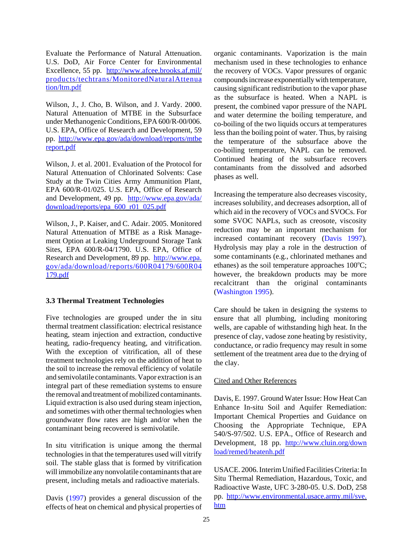<span id="page-24-0"></span>Evaluate the Performance of Natural Attenuation. U.S. DoD, Air Force Center for Environmental Excellence, 55 pp. http://www.afcee.brooks.af.mil/ products/techtrans/MonitoredNaturalAttenua tion/ltm.pdf

Wilson, J., J. Cho, B. Wilson, and J. Vardy. 2000. Natural Attenuation of MTBE in the Subsurface under Methanogenic Conditions, EPA 600/R-00/006. U.S. EPA, Office of Research and Development, 59 pp. http://www.epa.gov/ada/download/reports/mtbe report.pdf

Wilson, J. et al. 2001. Evaluation of the Protocol for Natural Attenuation of Chlorinated Solvents: Case Study at the Twin Cities Army Ammunition Plant, EPA 600/R-01/025. U.S. EPA, Office of Research and Development, 49 pp. http://www.epa.gov/ada/ download/reports/epa\_600\_r01\_025.pdf

Wilson, J., P. Kaiser, and C. Adair. 2005. Monitored Natural Attenuation of MTBE as a Risk Management Option at Leaking Underground Storage Tank Sites, EPA 600/R-04/1790. U.S. EPA, Office of Research and Development, 89 pp. http://www.epa. gov/ada/download/reports/600R04179/600R04 179.pdf

#### **3.3 Thermal Treatment Technologies**

Five technologies are grouped under the in situ thermal treatment classification: electrical resistance heating, steam injection and extraction, conductive heating, radio-frequency heating, and vitrification. With the exception of vitrification, all of these treatment technologies rely on the addition of heat to the soil to increase the removal efficiency of volatile and semivolatile contaminants. Vapor extraction is an integral part of these remediation systems to ensure the removal and treatment of mobilized contaminants. Liquid extraction is also used during steam injection, and sometimes with other thermal technologies when groundwater flow rates are high and/or when the contaminant being recovered is semivolatile.

In situ vitrification is unique among the thermal technologies in that the temperatures used will vitrify soil. The stable glass that is formed by vitrification will immobilize any nonvolatile contaminants that are present, including metals and radioactive materials.

Davis (1997) provides a general discussion of the effects of heat on chemical and physical properties of organic contaminants. Vaporization is the main mechanism used in these technologies to enhance the recovery of VOCs. Vapor pressures of organic compounds increase exponentially with temperature, causing significant redistribution to the vapor phase as the subsurface is heated. When a NAPL is present, the combined vapor pressure of the NAPL and water determine the boiling temperature, and co-boiling of the two liquids occurs at temperatures less than the boiling point of water. Thus, by raising the temperature of the subsurface above the co-boiling temperature, NAPL can be removed. Continued heating of the subsurface recovers contaminants from the dissolved and adsorbed phases as well.

Increasing the temperature also decreases viscosity, increases solubility, and decreases adsorption, all of which aid in the recovery of VOCs and SVOCs. For some SVOC NAPLs, such as creosote, viscosity reduction may be an important mechanism for increased contaminant recovery (Davis 1997). Hydrolysis may play a role in the destruction of some contaminants (e.g., chlorinated methanes and ethanes) as the soil temperature approaches  $100^{\circ}$ C; however, the breakdown products may be more recalcitrant than the original contaminants ([Washington 1995\).](#page-25-0)

Care should be taken in designing the systems to ensure that all plumbing, including monitoring wells, are capable of withstanding high heat. In the presence of clay, vadose zone heating by resistivity, conductance, or radio frequency may result in some settlement of the treatment area due to the drying of the clay.

#### Cited and Other References

Davis, E. 1997. Ground Water Issue: How Heat Can Enhance In-situ Soil and Aquifer Remediation: Important Chemical Properties and Guidance on Choosing the Appropriate Technique, EPA 540/S-97/502. U.S. EPA., Office of Research and Development, 18 pp. http://www.cluin.org/down load/remed/heatenh.pdf

USACE. 2006. Interim Unified Facilities Criteria: In Situ Thermal Remediation, Hazardous, Toxic, and Radioactive Waste, UFC 3-280-05. U.S. DoD, 258 pp. http://www.environmental.usace.army.mil/sve. htm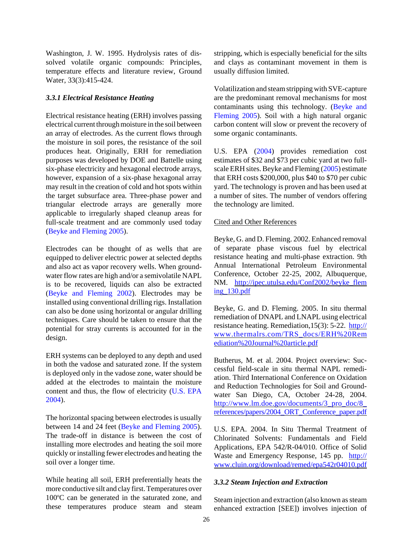<span id="page-25-0"></span>Washington, J. W. 1995. Hydrolysis rates of dissolved volatile organic compounds: Principles, temperature effects and literature review, Ground Water, 33(3):415-424.

# *3.3.1 Electrical Resistance Heating*

Electrical resistance heating (ERH) involves passing electrical current through moisture in the soil between an array of electrodes. As the current flows through the moisture in soil pores, the resistance of the soil produces heat. Originally, ERH for remediation purposes was developed by DOE and Battelle using six-phase electricity and hexagonal electrode arrays, however, expansion of a six-phase hexagonal array may result in the creation of cold and hot spots within the target subsurface area. Three-phase power and triangular electrode arrays are generally more applicable to irregularly shaped cleanup areas for full-scale treatment and are commonly used today (Beyke and Fleming 2005).

Electrodes can be thought of as wells that are equipped to deliver electric power at selected depths and also act as vapor recovery wells. When groundwater flow rates are high and/or a semivolatile NAPL is to be recovered, liquids can also be extracted (Beyke and Fleming 2002). Electrodes may be installed using conventional drilling rigs. Installation can also be done using horizontal or angular drilling techniques. Care should be taken to ensure that the potential for stray currents is accounted for in the design.

ERH systems can be deployed to any depth and used in both the vadose and saturated zone. If the system is deployed only in the vadose zone, water should be added at the electrodes to maintain the moisture content and thus, the flow of electricity (U.S. EPA 2004).

The horizontal spacing between electrodes is usually between 14 and 24 feet (Beyke and Fleming 2005). The trade-off in distance is between the cost of installing more electrodes and heating the soil more quickly or installing fewer electrodes and heating the soil over a longer time.

While heating all soil, ERH preferentially heats the more conductive silt and clay first. Temperatures over 100°C can be generated in the saturated zone, and these temperatures produce steam and steam

stripping, which is especially beneficial for the silts and clays as contaminant movement in them is usually diffusion limited.

Volatilization and steam stripping with SVE-capture are the predominant removal mechanisms for most contaminants using this technology. (Beyke and Fleming 2005). Soil with a high natural organic carbon content will slow or prevent the recovery of some organic contaminants.

U.S. EPA (2004) provides remediation cost estimates of \$32 and \$73 per cubic yard at two fullscale ERH sites. Beyke and Fleming (2005) estimate that ERH costs \$200,000, plus \$40 to \$70 per cubic yard. The technology is proven and has been used at a number of sites. The number of vendors offering the technology are limited.

# Cited and Other References

Beyke, G. and D. Fleming. 2002. Enhanced removal of separate phase viscous fuel by electrical resistance heating and multi-phase extraction. 9th Annual International Petroleum Environmental Conference, October 22-25, 2002, Albuquerque, NM. http://ipec.utulsa.edu/Conf2002/beyke\_flem ing\_130.pdf

Beyke, G. and D. Fleming. 2005. In situ thermal remediation of DNAPL and LNAPL using electrical resistance heating. Remediation,15(3): 5-22. [http://](http://www.thermalrs.com/TRS_docs/ERH%20Remediation%20Journal%20article.pdf)  [www.thermalrs.com/TRS\\_docs/ERH%20Rem](http://www.thermalrs.com/TRS_docs/ERH%20Remediation%20Journal%20article.pdf)  ediation%20Journal%20article.pdf

Butherus, M. et al. 2004. Project overview: Successful field-scale in situ thermal NAPL remediation. Third International Conference on Oxidation and Reduction Technologies for Soil and Groundwater San Diego, CA, October 24-28, 2004. http://www.lm.doe.gov/documents/3\_pro\_doc/8\_ references/papers/2004\_ORT\_Conference\_paper.pdf

U.S. EPA. 2004. In Situ Thermal Treatment of Chlorinated Solvents: Fundamentals and Field Applications, EPA 542/R-04/010. Office of Solid Waste and Emergency Response, 145 pp. [http://](http://www.cluin.org/download/remed/epa542r04010.pdf)  [www.cluin.org/download/remed/epa542r04010.pdf](http://www.cluin.org/download/remed/epa542r04010.pdf) 

# *3.3.2 Steam Injection and Extraction*

Steam injection and extraction (also known as steam enhanced extraction [SEE]) involves injection of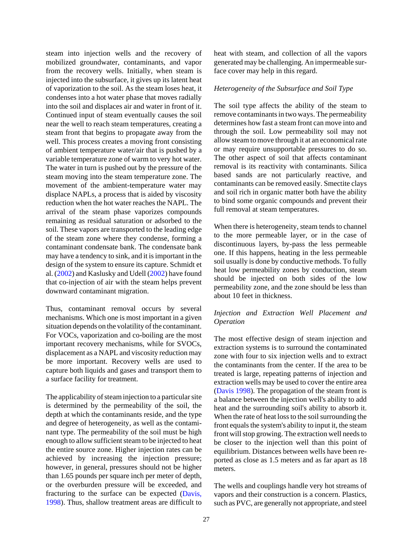steam into injection wells and the recovery of mobilized groundwater, contaminants, and vapor from the recovery wells. Initially, when steam is injected into the subsurface, it gives up its latent heat of vaporization to the soil. As the steam loses heat, it condenses into a hot water phase that moves radially into the soil and displaces air and water in front of it. Continued input of steam eventually causes the soil near the well to reach steam temperatures, creating a steam front that begins to propagate away from the well. This process creates a moving front consisting of ambient temperature water/air that is pushed by a variable temperature zone of warm to very hot water. The water in turn is pushed out by the pressure of the steam moving into the steam temperature zone. The movement of the ambient-temperature water may displace NAPLs, a process that is aided by viscosity reduction when the hot water reaches the NAPL. The arrival of the steam phase vaporizes compounds remaining as residual saturation or adsorbed to the soil. These vapors are transported to the leading edge of the steam zone where they condense, forming a contaminant condensate bank. The condensate bank may have a tendency to sink, and it is important in the design of the system to ensure its capture. Schmidt et al. [\(2002\)](#page-28-0) and Kaslusky and Udell ([2002\)](#page-28-0) have found that co-injection of air with the steam helps prevent downward contaminant migration.

Thus, contaminant removal occurs by several mechanisms. Which one is most important in a given situation depends on the volatility of the contaminant. For VOCs, vaporization and co-boiling are the most important recovery mechanisms, while for SVOCs, displacement as a NAPL and viscosity reduction may be more important. Recovery wells are used to capture both liquids and gases and transport them to a surface facility for treatment.

The applicability of steam injection to a particular site is determined by the permeability of the soil, the depth at which the contaminants reside, and the type and degree of heterogeneity, as well as the contaminant type. The permeability of the soil must be high enough to allow sufficient steam to be injected to heat the entire source zone. Higher injection rates can be achieved by increasing the injection pressure; however, in general, pressures should not be higher than 1.65 pounds per square inch per meter of depth, or the overburden pressure will be exceeded, and [fracturing to the surface can be expected \(Davis,](#page-27-0)  1998). Thus, shallow treatment areas are difficult to heat with steam, and collection of all the vapors generated may be challenging. An impermeable surface cover may help in this regard.

#### *Heterogeneity of the Subsurface and Soil Type*

The soil type affects the ability of the steam to remove contaminants in two ways. The permeability determines how fast a steam front can move into and through the soil. Low permeability soil may not allow steam to move through it at an economical rate or may require unsupportable pressures to do so. The other aspect of soil that affects contaminant removal is its reactivity with contaminants. Silica based sands are not particularly reactive, and contaminants can be removed easily. Smectite clays and soil rich in organic matter both have the ability to bind some organic compounds and prevent their full removal at steam temperatures.

When there is heterogeneity, steam tends to channel to the more permeable layer, or in the case of discontinuous layers, by-pass the less permeable one. If this happens, heating in the less permeable soil usually is done by conductive methods. To fully heat low permeability zones by conduction, steam should be injected on both sides of the low permeability zone, and the zone should be less than about 10 feet in thickness.

### *Injection and Extraction Well Placement and Operation*

The most effective design of steam injection and extraction systems is to surround the contaminated zone with four to six injection wells and to extract the contaminants from the center. If the area to be treated is large, repeating patterns of injection and extraction wells may be used to cover the entire area ([Davis 1998\).](#page-27-0) The propagation of the steam front is a balance between the injection well's ability to add heat and the surrounding soil's ability to absorb it. When the rate of heat loss to the soil surrounding the front equals the system's ability to input it, the steam front will stop growing. The extraction well needs to be closer to the injection well than this point of equilibrium. Distances between wells have been reported as close as 1.5 meters and as far apart as 18 meters.

The wells and couplings handle very hot streams of vapors and their construction is a concern. Plastics, such as PVC, are generally not appropriate, and steel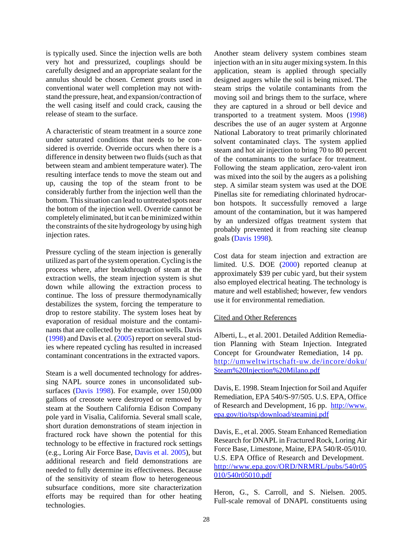<span id="page-27-0"></span>is typically used. Since the injection wells are both very hot and pressurized, couplings should be carefully designed and an appropriate sealant for the annulus should be chosen. Cement grouts used in conventional water well completion may not withstand the pressure, heat, and expansion/contraction of the well casing itself and could crack, causing the release of steam to the surface.

A characteristic of steam treatment in a source zone under saturated conditions that needs to be considered is override. Override occurs when there is a difference in density between two fluids (such as that between steam and ambient temperature water). The resulting interface tends to move the steam out and up, causing the top of the steam front to be considerably further from the injection well than the bottom. This situation can lead to untreated spots near the bottom of the injection well. Override cannot be completely eliminated, but it can be minimized within the constraints of the site hydrogeology by using high injection rates.

Pressure cycling of the steam injection is generally utilized as part of the system operation. Cycling is the process where, after breakthrough of steam at the extraction wells, the steam injection system is shut down while allowing the extraction process to continue. The loss of pressure thermodynamically destabilizes the system, forcing the temperature to drop to restore stability. The system loses heat by evaporation of residual moisture and the contaminants that are collected by the extraction wells. Davis (1998) and Davis et al. (2005) report on several studies where repeated cycling has resulted in increased contaminant concentrations in the extracted vapors.

Steam is a well documented technology for addressing NAPL source zones in unconsolidated subsurfaces (Davis 1998). For example, over 150,000 gallons of creosote were destroyed or removed by steam at the Southern California Edison Company pole yard in Visalia, California. Several small scale, short duration demonstrations of steam injection in fractured rock have shown the potential for this technology to be effective in fractured rock settings (e.g., Loring Air Force Base, Davis et al. 2005), but additional research and field demonstrations are needed to fully determine its effectiveness. Because of the sensitivity of steam flow to heterogeneous subsurface conditions, more site characterization efforts may be required than for other heating technologies.

Another steam delivery system combines steam injection with an in situ auger mixing system. In this application, steam is applied through specially designed augers while the soil is being mixed. The steam strips the volatile contaminants from the moving soil and brings them to the surface, where they are captured in a shroud or bell device and transported to a treatment system. Moos [\(1998](#page-28-0)) describes the use of an auger system at Argonne National Laboratory to treat primarily chlorinated solvent contaminated clays. The system applied steam and hot air injection to bring 70 to 80 percent of the contaminants to the surface for treatment. Following the steam application, zero-valent iron was mixed into the soil by the augers as a polishing step. A similar steam system was used at the DOE Pinellas site for remediating chlorinated hydrocarbon hotspots. It successfully removed a large amount of the contamination, but it was hampered by an undersized offgas treatment system that probably prevented it from reaching site cleanup goals (Davis 1998).

Cost data for steam injection and extraction are limited. U.S. DOE [\(2000](#page-28-0)) reported cleanup at approximately \$39 per cubic yard, but their system also employed electrical heating. The technology is mature and well established; however, few vendors use it for environmental remediation.

#### Cited and Other References

Alberti, L., et al. 2001. Detailed Addition Remediation Planning with Steam Injection. Integrated Concept for Groundwater Remediation, 14 pp. http://umweltwirtschaft-uw.de/incore/doku/ Steam%20Injection%20Milano.pdf

Davis, E. 1998. Steam Injection for Soil and Aquifer Remediation, EPA 540/S-97/505. U.S. EPA, Office of Research and Development, 16 pp. http://www. epa.gov/tio/tsp/download/steaminj.pdf

Davis, E., et al. 2005. Steam Enhanced Remediation Research for DNAPL in Fractured Rock, Loring Air Force Base, Limestone, Maine, EPA 540/R-05/010. U.S. EPA Office of Research and Development. http://www.epa.gov/ORD/NRMRL/pubs/540r05 010/540r05010.pdf

Heron, G., S. Carroll, and S. Nielsen. 2005. Full-scale removal of DNAPL constituents using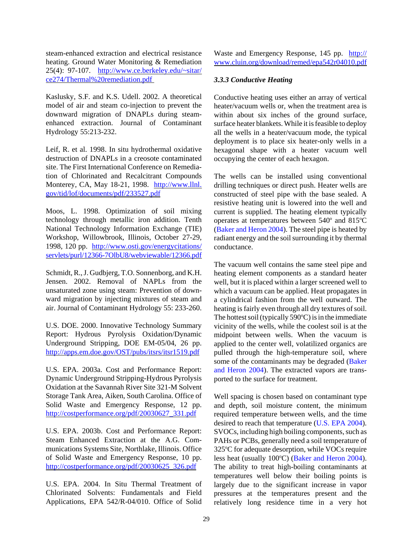<span id="page-28-0"></span>steam-enhanced extraction and electrical resistance heating. Ground Water Monitoring & Remediation 25(4): 97-107. http://www.ce.berkeley.edu/~sitar/ ce274/Thermal%20remediation.pdf

Kaslusky, S.F. and K.S. Udell. 2002. A theoretical model of air and steam co-injection to prevent the downward migration of DNAPLs during steamenhanced extraction. Journal of Contaminant Hydrology 55:213-232.

Leif, R. et al. 1998. In situ hydrothermal oxidative destruction of DNAPLs in a creosote contaminated site. The First International Conference on Remediation of Chlorinated and Recalcitrant Compounds Monterey, CA, May 18-21, 1998. http://www.llnl. gov/tid/lof/documents/pdf/233527.pdf

Moos, L. 1998. Optimization of soil mixing technology through metallic iron addition. Tenth National Technology Information Exchange (TIE) Workshop, Willowbrook, Illinois, October 27-29, 1998, 120 pp. http://www.osti.gov/energycitations/ servlets/purl/12366-7OlbU8/webviewable/12366.pdf

Schmidt, R., J. Gudbjerg, T.O. Sonnenborg, and K.H. Jensen. 2002. Removal of NAPLs from the unsaturated zone using steam: Prevention of downward migration by injecting mixtures of steam and air. Journal of Contaminant Hydrology 55: 233-260.

U.S. DOE. 2000. Innovative Technology Summary Report: Hydrous Pyrolysis Oxidation/Dynamic Underground Stripping, DOE EM-05/04, 26 pp. http://apps.em.doe.gov/OST/pubs/itsrs/itsr1519.pdf

U.S. EPA. 2003a. Cost and Performance Report: Dynamic Underground Stripping-Hydrous Pyrolysis Oxidation at the Savannah River Site 321-M Solvent Storage Tank Area, Aiken, South Carolina. Office of Solid Waste and Emergency Response, 12 pp. http://costperformance.org/pdf/20030627\_331.pdf

U.S. EPA. 2003b. Cost and Performance Report: Steam Enhanced Extraction at the A.G. Communications Systems Site, Northlake, Illinois. Office of Solid Waste and Emergency Response, 10 pp. http://costperformance.org/pdf/20030625\_326.pdf

U.S. EPA. 2004. In Situ Thermal Treatment of Chlorinated Solvents: Fundamentals and Field Applications, EPA 542/R-04/010. Office of Solid Waste and Emergency Response, 145 pp. [http://](http://www.cluin.org/download/remed/epa542r04010.pdf)  [www.cluin.org/download/remed/epa542r04010.pdf](http://www.cluin.org/download/remed/epa542r04010.pdf) 

# *3.3.3 Conductive Heating*

Conductive heating uses either an array of vertical heater/vacuum wells or, when the treatment area is within about six inches of the ground surface, surface heater blankets. While it is feasible to deploy all the wells in a heater/vacuum mode, the typical deployment is to place six heater-only wells in a hexagonal shape with a heater vacuum well occupying the center of each hexagon.

The wells can be installed using conventional drilling techniques or direct push. Heater wells are constructed of steel pipe with the base sealed. A resistive heating unit is lowered into the well and current is supplied. The heating element typically operates at temperatures between  $540^{\circ}$  and  $815^{\circ}$ C ([Baker and Heron 2004\).](#page-29-0) The steel pipe is heated by radiant energy and the soil surrounding it by thermal conductance.

The vacuum well contains the same steel pipe and heating element components as a standard heater well, but it is placed within a larger screened well to which a vacuum can be applied. Heat propagates in a cylindrical fashion from the well outward. The heating is fairly even through all dry textures of soil. The hottest soil (typically  $590^{\circ}$ C) is in the immediate vicinity of the wells, while the coolest soil is at the midpoint between wells. When the vacuum is applied to the center well, volatilized organics are pulled through the high-temperature soil, where [some of the contaminants may be degraded \(Baker](#page-29-0) and Heron 2004). The extracted vapors are transported to the surface for treatment.

Well spacing is chosen based on contaminant type and depth, soil moisture content, the minimum required temperature between wells, and the time desired to reach that temperature ([U.S. EPA 2004\).](#page-29-0)  SVOCs, including high boiling components, such as PAHs or PCBs, generally need a soil temperature of 325°C for adequate desorption, while VOCs require less heat (usually 100°C) (Baker and Heron 2004). The ability to treat high-boiling contaminants at temperatures well below their boiling points is largely due to the significant increase in vapor pressures at the temperatures present and the relatively long residence time in a very hot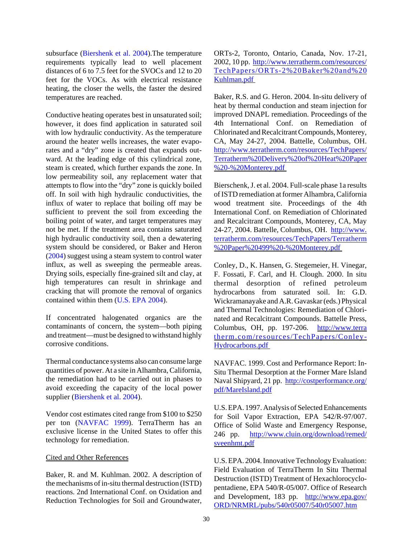<span id="page-29-0"></span>subsurface (Biershenk et al. 2004).The temperature requirements typically lead to well placement distances of 6 to 7.5 feet for the SVOCs and 12 to 20 feet for the VOCs. As with electrical resistance heating, the closer the wells, the faster the desired temperatures are reached.

Conductive heating operates best in unsaturated soil; however, it does find application in saturated soil with low hydraulic conductivity. As the temperature around the heater wells increases, the water evaporates and a "dry" zone is created that expands outward. At the leading edge of this cylindrical zone, steam is created, which further expands the zone. In low permeability soil, any replacement water that attempts to flow into the "dry" zone is quickly boiled off. In soil with high hydraulic conductivities, the influx of water to replace that boiling off may be sufficient to prevent the soil from exceeding the boiling point of water, and target temperatures may not be met. If the treatment area contains saturated high hydraulic conductivity soil, then a dewatering system should be considered, or Baker and Heron (2004) suggest using a steam system to control water influx, as well as sweeping the permeable areas. Drying soils, especially fine-grained silt and clay, at high temperatures can result in shrinkage and cracking that will promote the removal of organics contained within them (U.S. EPA 2004).

If concentrated halogenated organics are the contaminants of concern, the system—both piping and treatment—must be designed to withstand highly corrosive conditions.

Thermal conductance systems also can consume large quantities of power. At a site in Alhambra, California, the remediation had to be carried out in phases to avoid exceeding the capacity of the local power supplier (Biershenk et al. 2004).

Vendor cost estimates cited range from \$100 to \$250 per ton (NAVFAC 1999). TerraTherm has an exclusive license in the United States to offer this technology for remediation.

# Cited and Other References

Baker, R. and M. Kuhlman. 2002. A description of the mechanisms of in-situ thermal destruction (ISTD) reactions. 2nd International Conf. on Oxidation and Reduction Technologies for Soil and Groundwater,

ORTs-2, Toronto, Ontario, Canada, Nov. 17-21, 2002, 10 pp. http://www.terratherm.com/resources/ TechPapers/ORTs-2%20Baker%20and%20 Kuhlman.pdf

Baker, R.S. and G. Heron. 2004. In-situ delivery of heat by thermal conduction and steam injection for improved DNAPL remediation. Proceedings of the 4th International Conf. on Remediation of Chlorinated and Recalcitrant Compounds, Monterey, CA, May 24-27, 2004. Battelle, Columbus, OH. http://www.terratherm.com/resources/TechPapers/ Terratherm%20Delivery%20of%20Heat%20Paper %20-%20Monterey.pdf

Bierschenk, J. et al. 2004. Full-scale phase 1a results of ISTD remediation at former Alhambra, California wood treatment site. Proceedings of the 4th International Conf. on Remediation of Chlorinated and Recalcitrant Compounds, Monterey, CA, May 24-27, 2004. Battelle, Columbus, OH. http://www. terratherm.com/resources/TechPapers/Terratherm %20Paper%20499%20-%20Monterey.pdf

Conley, D., K. Hansen, G. Stegemeier, H. Vinegar, F. Fossati, F. Carl, and H. Clough. 2000. In situ thermal desorption of refined petroleum hydrocarbons from saturated soil. In: G.D. Wickramanayake and A.R. Gavaskar (eds.) Physical and Thermal Technologies: Remediation of Chlorinated and Recalcitrant Compounds. Battelle Press, Columbus, OH, pp. 197-206. http://www.terra therm.com/resources/TechPapers/Conley-Hydrocarbons.pdf

NAVFAC. 1999. Cost and Performance Report: In-Situ Thermal Desorption at the Former Mare Island Naval Shipyard, 21 pp. http://costperformance.org/ pdf/MareIsland.pdf

U.S.EPA. 1997. Analysis of Selected Enhancements for Soil Vapor Extraction, EPA 542/R-97/007. Office of Solid Waste and Emergency Response, 246 pp. http://www.cluin.org/download/remed/ sveenhmt.pdf

U.S. EPA. 2004. Innovative Technology Evaluation: Field Evaluation of TerraTherm In Situ Thermal Destruction (ISTD) Treatment of Hexachlorocyclopentadiene, EPA 540/R-05/007. Office of Research and Development, 183 pp. http://www.epa.gov/ ORD/NRMRL/pubs/540r05007/540r05007.htm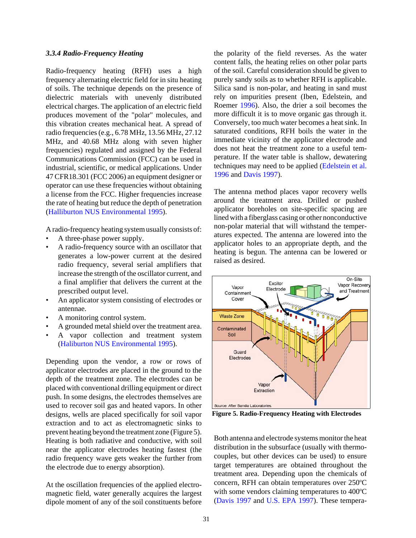#### <span id="page-30-0"></span>*3.3.4 Radio-Frequency Heating*

Radio-frequency heating (RFH) uses a high frequency alternating electric field for in situ heating of soils. The technique depends on the presence of dielectric materials with unevenly distributed electrical charges. The application of an electric field produces movement of the "polar" molecules, and this vibration creates mechanical heat. A spread of radio frequencies (e.g., 6.78 MHz, 13.56 MHz, 27.12 MHz, and 40.68 MHz along with seven higher frequencies) regulated and assigned by the Federal Communications Commission (FCC) can be used in industrial, scientific, or medical applications. Under 47 CFR18.301 (FCC 2006) an equipment designer or operator can use these frequencies without obtaining a license from the FCC. Higher frequencies increase the rate of heating but reduce the depth of penetration [\(Halliburton NUS Environmental 1995\).](#page-31-0) 

A radio-frequency heating system usually consists of:

- A three-phase power supply.
- A radio-frequency source with an oscillator that generates a low-power current at the desired radio frequency, several serial amplifiers that increase the strength of the oscillator current, and a final amplifier that delivers the current at the prescribed output level.
- An applicator system consisting of electrodes or antennae.
- A monitoring control system.
- A grounded metal shield over the treatment area.
- A vapor collection and treatment system [\(Haliburton NUS Environmental 1995\).](#page-31-0)

Depending upon the vendor, a row or rows of applicator electrodes are placed in the ground to the depth of the treatment zone. The electrodes can be placed with conventional drilling equipment or direct push. In some designs, the electrodes themselves are used to recover soil gas and heated vapors. In other designs, wells are placed specifically for soil vapor extraction and to act as electromagnetic sinks to prevent heating beyond the treatment zone (Figure 5). Heating is both radiative and conductive, with soil near the applicator electrodes heating fastest (the radio frequency wave gets weaker the further from the electrode due to energy absorption).

At the oscillation frequencies of the applied electromagnetic field, water generally acquires the largest dipole moment of any of the soil constituents before the polarity of the field reverses. As the water content falls, the heating relies on other polar parts of the soil. Careful consideration should be given to purely sandy soils as to whether RFH is applicable. Silica sand is non-polar, and heating in sand must rely on impurities present (Iben, Edelstein, and Roemer [1996\)](#page-31-0). Also, the drier a soil becomes the more difficult it is to move organic gas through it. Conversely, too much water becomes a heat sink. In saturated conditions, RFH boils the water in the immediate vicinity of the applicator electrode and does not heat the treatment zone to a useful temperature. If the water table is shallow, dewatering [techniques may need to be applied \(Edelstein et al.](#page-31-0) 1996 and [Davis 1997\).](#page-31-0)

The antenna method places vapor recovery wells around the treatment area. Drilled or pushed applicator boreholes on site-specific spacing are lined with a fiberglass casing or other nonconductive non-polar material that will withstand the temperatures expected. The antenna are lowered into the applicator holes to an appropriate depth, and the heating is begun. The antenna can be lowered or raised as desired.



**Figure 5. Radio-Frequency Heating with Electrodes** 

Both antenna and electrode systems monitor the heat distribution in the subsurface (usually with thermocouples, but other devices can be used) to ensure target temperatures are obtained throughout the treatment area. Depending upon the chemicals of concern, RFH can obtain temperatures over 250°C with some vendors claiming temperatures to  $400^{\circ}$ C ([Davis 1997](#page-31-0) and [U.S. EPA 1997\).](#page-31-0) These tempera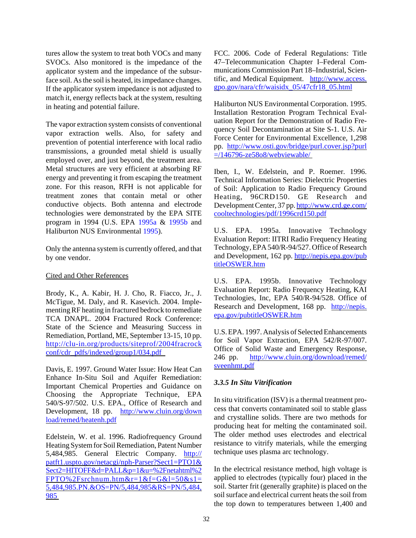<span id="page-31-0"></span>tures allow the system to treat both VOCs and many SVOCs. Also monitored is the impedance of the applicator system and the impedance of the subsurface soil. As the soil is heated, its impedance changes. If the applicator system impedance is not adjusted to match it, energy reflects back at the system, resulting in heating and potential failure.

The vapor extraction system consists of conventional vapor extraction wells. Also, for safety and prevention of potential interference with local radio transmissions, a grounded metal shield is usually employed over, and just beyond, the treatment area. Metal structures are very efficient at absorbing RF energy and preventing it from escaping the treatment zone. For this reason, RFH is not applicable for treatment zones that contain metal or other conductive objects. Both antenna and electrode technologies were demonstrated by the EPA SITE program in 1994 (U.S. EPA 1995a & 1995b and Haliburton NUS Environmental 1995).

Only the antenna system is currently offered, and that by one vendor.

# Cited and Other References

Brody, K., A. Kabir, H. J. Cho, R. Fiacco, Jr., J. McTigue, M. Daly, and R. Kasevich. 2004. Implementing RF heating in fractured bedrock to remediate TCA DNAPL. 2004 Fractured Rock Conference: State of the Science and Measuring Success in Remediation, Portland, ME, September 13-15, 10 pp. http://clu-in.org/products/siteprof/2004fracrock conf/cdr\_pdfs/indexed/group1/034.pdf

Davis, E. 1997. Ground Water Issue: How Heat Can Enhance In-Situ Soil and Aquifer Remediation: Important Chemical Properties and Guidance on Choosing the Appropriate Technique, EPA 540/S-97/502. U.S. EPA., Office of Research and Development, 18 pp. http://www.cluin.org/down load/remed/heatenh.pdf

Edelstein, W. et al. 1996. Radiofrequency Ground Heating System for Soil Remediation, Patent Number 5,484,985. General Electric Company. [http://](http://patft1.uspto.gov/netacgi/nph-Parser?Sect1=PTO1&Sect2=HITOFF&d=PALL&p=1&u=%2Fnetahtml%2 FPTO%2Fsrchnum.htm&r=1&f=G&l=50&s1=5,484,985.PN.&OS=PN/5,484,985&RS=PN/5,484,985)  patft1.uspto.gov/netacgi/nph-Parser?Sect1=PTO1& Sect2=HITOFF&d=PALL&p=1&u=%2Fnetahtml%2  $FPTO\%2Fsrchnum.htm&r=1&f=G&1=50&s1=$ 5,484,985.PN.&OS=PN/5,484,985&RS=PN/5,484, 985

FCC. 2006. Code of Federal Regulations: Title 47–Telecommunication Chapter I–Federal Communications Commission Part 18–Industrial, Scientific, and Medical Equipment. http://www.access. gpo.gov/nara/cfr/waisidx\_05/47cfr18\_05.html

Haliburton NUS Environmental Corporation. 1995. Installation Restoration Program Technical Evaluation Report for the Demonstration of Radio Frequency Soil Decontamination at Site S-1. U.S. Air Force Center for Environmental Excellence, 1,298 pp. http://www.osti.gov/bridge/purl.cover.jsp?purl  $=$ /146796-ze58o8/webviewable/

Iben, I., W. Edelstein, and P. Roemer. 1996. Technical Information Series: Dielectric Properties of Soil: Application to Radio Frequency Ground Heating, 96CRD150. GE Research and Development Center, 37 pp. http://www.crd.ge.com/ cooltechnologies/pdf/1996crd150.pdf

U.S. EPA. 1995a. Innovative Technology Evaluation Report: IITRI Radio Frequency Heating Technology, EPA 540/R-94/527. Office of Research and Development, 162 pp. http://nepis.epa.gov/pub titleOSWER.htm

U.S. EPA. 1995b. Innovative Technology Evaluation Report: Radio Frequency Heating, KAI Technologies, Inc, EPA 540/R-94/528. Office of Research and Development, 168 pp. http://nepis. epa.gov/pubtitleOSWER.htm

U.S.EPA. 1997. Analysis of Selected Enhancements for Soil Vapor Extraction, EPA 542/R-97/007. Office of Solid Waste and Emergency Response, 246 pp. http://www.cluin.org/download/remed/ sveenhmt.pdf

# *3.3.5 In Situ Vitrification*

In situ vitrification (ISV) is a thermal treatment process that converts contaminated soil to stable glass and crystalline solids. There are two methods for producing heat for melting the contaminated soil. The older method uses electrodes and electrical resistance to vitrify materials, while the emerging technique uses plasma arc technology.

In the electrical resistance method, high voltage is applied to electrodes (typically four) placed in the soil. Starter frit (generally graphite) is placed on the soil surface and electrical current heats the soil from the top down to temperatures between 1,400 and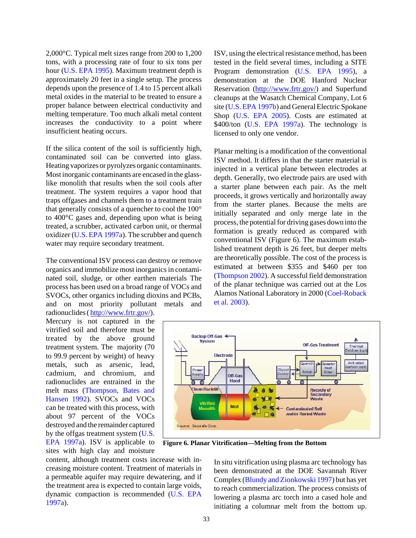2,000°C. Typical melt sizes range from 200 to 1,200 tons, with a processing rate of four to six tons per hour ([U.S. EPA 1995\).](#page-33-0) Maximum treatment depth is approximately 20 feet in a single setup. The process depends upon the presence of 1.4 to 15 percent alkali metal oxides in the material to be treated to ensure a proper balance between electrical conductivity and melting temperature. Too much alkali metal content increases the conductivity to a point where insufficient heating occurs.

If the silica content of the soil is sufficiently high, contaminated soil can be converted into glass. Heating vaporizes or pyrolyzes organic contaminants. Most inorganic contaminants are encased in the glasslike monolith that results when the soil cools after treatment. The system requires a vapor hood that traps offgases and channels them to a treatment train that generally consists of a quencher to cool the 100° to 400°C gases and, depending upon what is being treated, a scrubber, activated carbon unit, or thermal oxidizer [\(U.S. EPA 1997a\).](#page-33-0) The scrubber and quench water may require secondary treatment.

The conventional ISV process can destroy or remove organics and immobilize most inorganics in contaminated soil, sludge, or other earthen materials The process has been used on a broad range of VOCs and SVOCs, other organics including dioxins and PCBs, and on most priority pollutant metals and

radionuclides ( http://www.frtr.gov/). Mercury is not captured in the vitrified soil and therefore must be

treated by the above ground treatment system. The majority (70 to 99.9 percent by weight) of heavy metals, such as arsenic, lead, cadmium, and chromium, and radionuclides are entrained in the [melt mass \(Thompson, Bates and](#page-33-0)  Hansen 1992). SVOCs and VOCs can be treated with this process, with about 97 percent of the VOCs destroyed and the remainder captured [by the offgas treatment system \(U.S.](#page-33-0)  sites with high clay and moisture

ISV, using the electrical resistance method, has been tested in the field several times, including a SITE Program demonstration [\(U.S. EPA 1995\),](#page-33-0) a demonstration at the DOE Hanford Nuclear Reservation (http://www.frtr.gov/) and Superfund cleanups at the Wasatch Chemical Company, Lot 6 site ([U.S. EPA 1997b\)](#page-33-0) and General Electric Spokane Shop [\(U.S. EPA 2005\).](#page-33-0) Costs are estimated at \$400/ton ([U.S. EPA 1997a\).](#page-33-0) The technology is licensed to only one vendor.

Planar melting is a modification of the conventional ISV method. It differs in that the starter material is injected in a vertical plane between electrodes at depth. Generally, two electrode pairs are used with a starter plane between each pair. As the melt proceeds, it grows vertically and horizontally away from the starter planes. Because the melts are initially separated and only merge late in the process, the potential for driving gases down into the formation is greatly reduced as compared with conventional ISV (Figure 6). The maximum established treatment depth is 26 feet, but deeper melts are theoretically possible. The cost of the process is estimated at between \$355 and \$460 per ton ([Thompson 2002\).](#page-33-0) A successful field demonstration of the planar technique was carried out at the Los [Alamos National Laboratory in 2000 \(Coel-Roback](#page-33-0)  et al. 2003).



EPA 1997a). ISV is applicable to **Figure 6. Planar Vitrification—Melting from the Bottom** 

content, although treatment costs increase with increasing moisture content. Treatment of materials in a permeable aquifer may require dewatering, and if the treatment area is expected to contain large voids, [dynamic compaction is recommended \(U.S. EPA](#page-33-0) 1997a).

In situ vitrification using plasma arc technology has been demonstrated at the DOE Savannah River Complex ([Blundy and Zionkowski 1997\)](#page-33-0) but has yet to reach commercialization. The process consists of lowering a plasma arc torch into a cased hole and initiating a columnar melt from the bottom up.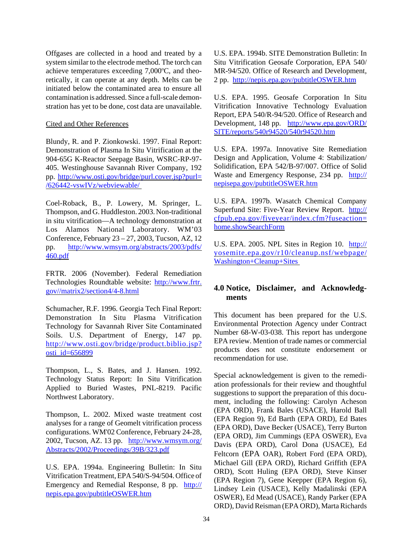<span id="page-33-0"></span>Offgases are collected in a hood and treated by a system similar to the electrode method. The torch can achieve temperatures exceeding  $7,000^{\circ}$ C, and theoretically, it can operate at any depth. Melts can be initiated below the contaminated area to ensure all contamination is addressed. Since a full-scale demonstration has yet to be done, cost data are unavailable.

#### Cited and Other References

Blundy, R. and P. Zionkowski. 1997. Final Report: Demonstration of Plasma In Situ Vitrification at the 904-65G K-Reactor Seepage Basin, WSRC-RP-97 405. Westinghouse Savannah River Company, 192 pp. http://www.osti.gov/bridge/purl.cover.jsp?purl= /626442-vswIVz/webviewable/

Coel-Roback, B., P. Lowery, M. Springer, L. Thompson, and G. Huddleston. 2003. Non-traditional in situ vitrification—A technology demonstration at Los Alamos National Laboratory. WM'03 Conference, February 23 – 27, 2003, Tucson, AZ, 12 pp. http://www.wmsym.org/abstracts/2003/pdfs/ 460.pdf

FRTR. 2006 (November). Federal Remediation Technologies Roundtable website: http://www.frtr. gov//matrix2/section4/4-8.html

Schumacher, R.F. 1996. Georgia Tech Final Report: Demonstration In Situ Plasma Vitrification Technology for Savannah River Site Contaminated Soils. U.S. Department of Energy, 147 pp. http://www.osti.gov/bridge/product.biblio.jsp? osti\_id=656899

Thompson, L., S. Bates, and J. Hansen. 1992. Technology Status Report: In Situ Vitrification Applied to Buried Wastes, PNL-8219. Pacific Northwest Laboratory.

Thompson, L. 2002. Mixed waste treatment cost analyses for a range of Geomelt vitrification process configurations. WM'02 Conference, February 24-28, 2002, Tucson, AZ. 13 pp. http://www.wmsym.org/ Abstracts/2002/Proceedings/39B/323.pdf

U.S. EPA. 1994a. Engineering Bulletin: In Situ Vitrification Treatment, EPA 540/S-94/504. Office of Emergency and Remedial Response, 8 pp. [http://](http://nepis.epa.gov/pubtitleOSWER.htm)  [nepis.epa.gov/pubtitleOSWER.htm](http://nepis.epa.gov/pubtitleOSWER.htm) 

U.S. EPA. 1994b. SITE Demonstration Bulletin: In Situ Vitrification Geosafe Corporation, EPA 540/ MR-94/520. Office of Research and Development, 2 pp. http://nepis.epa.gov/pubtitleOSWER.htm

U.S. EPA. 1995. Geosafe Corporation In Situ Vitrification Innovative Technology Evaluation Report, EPA 540/R-94/520. Office of Research and Development, 148 pp. http://www.epa.gov/ORD/ SITE/reports/540r94520/540r94520.htm

U.S. EPA. 1997a. Innovative Site Remediation Design and Application, Volume 4: Stabilization/ Solidification, EPA 542/B-97/007. Office of Solid Waste and Emergency Response, 234 pp. http:// [nepisepa.gov/pubtitleOSWER.htm](http://nepis.epa.gov/pubtitleOSWER.htm) 

U.S. EPA. 1997b. Wasatch Chemical Company Superfund Site: Five-Year Review Report. [http://](http://cfpub.epa.gov/fiveyear/index.cfm?fuseaction=home.showSearchForm)  [cfpub.epa.gov/fiveyear/index.cfm?fuseaction=](http://cfpub.epa.gov/fiveyear/index.cfm?fuseaction=home.showSearchForm)  home.showSearchForm

U.S. EPA. 2005. NPL Sites in Region 10. [http://](http://yosemite.epa.gov/r10/cleanup.nsf/webpage/Washington+Cleanup+Sites) [yosemite.epa.gov/r10/cleanup.nsf/webpage/](http://yosemite.epa.gov/r10/cleanup.nsf/webpage/Washington+Cleanup+Sites) Washington+Cleanup+Sites

# **4.0 Notice, Disclaimer, and Acknowledgments**

This document has been prepared for the U.S. Environmental Protection Agency under Contract Number 68-W-03-038. This report has undergone EPA review. Mention of trade names or commercial products does not constitute endorsement or recommendation for use.

Special acknowledgement is given to the remediation professionals for their review and thoughtful suggestions to support the preparation of this document, including the following: Carolyn Acheson (EPA ORD), Frank Bales (USACE), Harold Ball (EPA Region 9), Ed Barth (EPA ORD), Ed Bates (EPA ORD), Dave Becker (USACE), Terry Burton (EPA ORD), Jim Cummings (EPA OSWER), Eva Davis (EPA ORD), Carol Dona (USACE), Ed Feltcorn (EPA OAR), Robert Ford (EPA ORD), Michael Gill (EPA ORD), Richard Griffith (EPA ORD), Scott Huling (EPA ORD), Steve Kinser (EPA Region 7), Gene Keepper (EPA Region 6), Lindsey Lein (USACE), Kelly Madalinski (EPA OSWER), Ed Mead (USACE), Randy Parker (EPA ORD), David Reisman (EPA ORD), Marta Richards